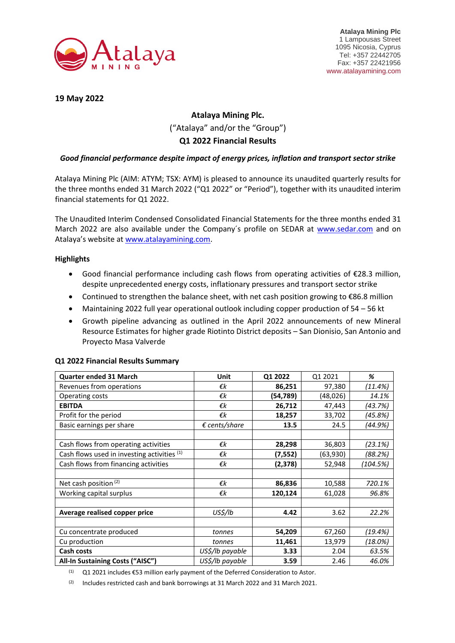

**19 May 2022**

# **Atalaya Mining Plc.** ("Atalaya" and/or the "Group") **Q1 2022 Financial Results**

# *Good financial performance despite impact of energy prices, inflation and transport sector strike*

Atalaya Mining Plc (AIM: ATYM; TSX: AYM) is pleased to announce its unaudited quarterly results for the three months ended 31 March 2022 ("Q1 2022" or "Period"), together with its unaudited interim financial statements for Q1 2022.

The Unaudited Interim Condensed Consolidated Financial Statements for the three months ended 31 March 2022 are also available under the Company´s profile on SEDAR at [www.sedar.com](http://www.sedar.com/) and on Atalaya's website at [www.atalayamining.com.](http://www.atalayamining.com/)

# **Highlights**

- Good financial performance including cash flows from operating activities of €28.3 million, despite unprecedented energy costs, inflationary pressures and transport sector strike
- Continued to strengthen the balance sheet, with net cash position growing to €86.8 million
- Maintaining 2022 full year operational outlook including copper production of 54 56 kt
- Growth pipeline advancing as outlined in the April 2022 announcements of new Mineral Resource Estimates for higher grade Riotinto District deposits – San Dionisio, San Antonio and Proyecto Masa Valverde

| <b>Quarter ended 31 March</b>               | Unit                   | Q1 2022  | Q1 2021   | %        |
|---------------------------------------------|------------------------|----------|-----------|----------|
| Revenues from operations                    | €k                     | 86,251   | 97,380    | (11.4%)  |
| Operating costs                             | €k                     | (54,789) | (48, 026) | 14.1%    |
| <b>EBITDA</b>                               | €k                     | 26,712   | 47,443    | (43.7%)  |
| Profit for the period                       | €k                     | 18,257   | 33,702    | (45.8%)  |
| Basic earnings per share                    | $\epsilon$ cents/share | 13.5     | 24.5      | (44.9%)  |
|                                             |                        |          |           |          |
| Cash flows from operating activities        | €k                     | 28,298   | 36,803    | (23.1%)  |
| Cash flows used in investing activities (1) | €k                     | (7,552)  | (63,930)  | (88.2%)  |
| Cash flows from financing activities        | €k                     | (2,378)  | 52,948    | (104.5%) |
|                                             |                        |          |           |          |
| Net cash position <sup>(2)</sup>            | €k                     | 86,836   | 10,588    | 720.1%   |
| Working capital surplus                     | €k                     | 120,124  | 61,028    | 96.8%    |
|                                             |                        |          |           |          |
| Average realised copper price               | US\$/lb                | 4.42     | 3.62      | 22.2%    |
|                                             |                        |          |           |          |
| Cu concentrate produced                     | tonnes                 | 54,209   | 67,260    | (19.4%)  |
| Cu production                               | tonnes                 | 11,461   | 13,979    | (18.0%)  |
| Cash costs                                  | US\$/lb payable        | 3.33     | 2.04      | 63.5%    |
| All-In Sustaining Costs ("AISC")            | US\$/lb payable        | 3.59     | 2.46      | 46.0%    |

### **Q1 2022 Financial Results Summary**

 $(1)$  Q1 2021 includes €53 million early payment of the Deferred Consideration to Astor.

 $(2)$  Includes restricted cash and bank borrowings at 31 March 2022 and 31 March 2021.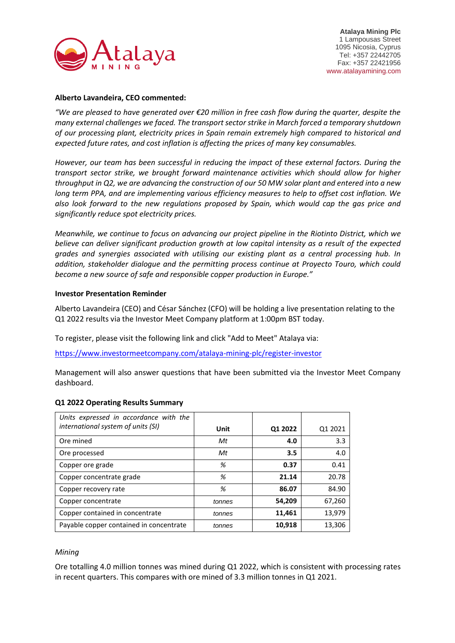

## **Alberto Lavandeira, CEO commented:**

*"We are pleased to have generated over €20 million in free cash flow during the quarter, despite the many external challenges we faced. The transport sector strike in March forced a temporary shutdown of our processing plant, electricity prices in Spain remain extremely high compared to historical and expected future rates, and cost inflation is affecting the prices of many key consumables.*

*However, our team has been successful in reducing the impact of these external factors. During the transport sector strike, we brought forward maintenance activities which should allow for higher throughput in Q2, we are advancing the construction of our 50 MW solar plant and entered into a new long term PPA, and are implementing various efficiency measures to help to offset cost inflation. We also look forward to the new regulations proposed by Spain, which would cap the gas price and significantly reduce spot electricity prices.*

*Meanwhile, we continue to focus on advancing our project pipeline in the Riotinto District, which we believe can deliver significant production growth at low capital intensity as a result of the expected grades and synergies associated with utilising our existing plant as a central processing hub. In addition, stakeholder dialogue and the permitting process continue at Proyecto Touro, which could become a new source of safe and responsible copper production in Europe."*

## **Investor Presentation Reminder**

Alberto Lavandeira (CEO) and César Sánchez (CFO) will be holding a live presentation relating to the Q1 2022 results via the Investor Meet Company platform at 1:00pm BST today.

To register, please visit the following link and click "Add to Meet" Atalaya via:

https://www.investormeetcompany.com/atalaya-mining-plc/register-investor

Management will also answer questions that have been submitted via the Investor Meet Company dashboard.

| Units expressed in accordance with the  |        |         |         |
|-----------------------------------------|--------|---------|---------|
| international system of units (SI)      | Unit   | Q1 2022 | Q1 2021 |
| Ore mined                               | Mt     | 4.0     | 3.3     |
| Ore processed                           | Mt     | 3.5     | 4.0     |
| Copper ore grade                        | %      | 0.37    | 0.41    |
| Copper concentrate grade                | %      | 21.14   | 20.78   |
| Copper recovery rate                    | %      | 86.07   | 84.90   |
| Copper concentrate                      | tonnes | 54,209  | 67,260  |
| Copper contained in concentrate         | tonnes | 11,461  | 13,979  |
| Payable copper contained in concentrate | tonnes | 10,918  | 13,306  |

## **Q1 2022 Operating Results Summary**

### *Mining*

Ore totalling 4.0 million tonnes was mined during Q1 2022, which is consistent with processing rates in recent quarters. This compares with ore mined of 3.3 million tonnes in Q1 2021.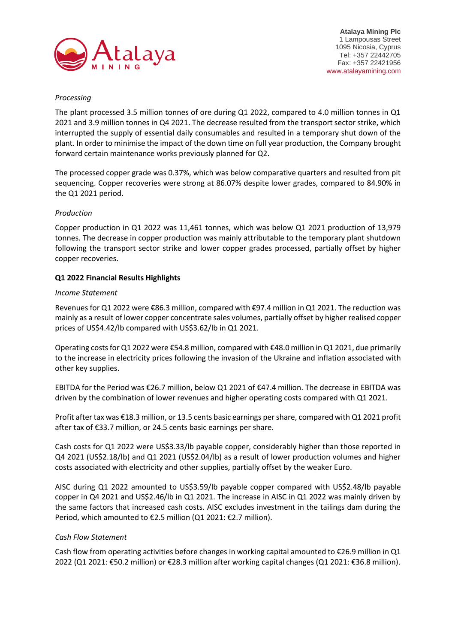

# *Processing*

The plant processed 3.5 million tonnes of ore during Q1 2022, compared to 4.0 million tonnes in Q1 2021 and 3.9 million tonnes in Q4 2021. The decrease resulted from the transport sector strike, which interrupted the supply of essential daily consumables and resulted in a temporary shut down of the plant. In order to minimise the impact of the down time on full year production, the Company brought forward certain maintenance works previously planned for Q2.

The processed copper grade was 0.37%, which was below comparative quarters and resulted from pit sequencing. Copper recoveries were strong at 86.07% despite lower grades, compared to 84.90% in the Q1 2021 period.

## *Production*

Copper production in Q1 2022 was 11,461 tonnes, which was below Q1 2021 production of 13,979 tonnes. The decrease in copper production was mainly attributable to the temporary plant shutdown following the transport sector strike and lower copper grades processed, partially offset by higher copper recoveries.

## **Q1 2022 Financial Results Highlights**

## *Income Statement*

Revenues for Q1 2022 were €86.3 million, compared with €97.4 million in Q1 2021. The reduction was mainly as a result of lower copper concentrate sales volumes, partially offset by higher realised copper prices of US\$4.42/lb compared with US\$3.62/lb in Q1 2021.

Operating costs for Q1 2022 were €54.8 million, compared with €48.0 million in Q1 2021, due primarily to the increase in electricity prices following the invasion of the Ukraine and inflation associated with other key supplies.

EBITDA for the Period was €26.7 million, below Q1 2021 of €47.4 million. The decrease in EBITDA was driven by the combination of lower revenues and higher operating costs compared with Q1 2021.

Profit after tax was €18.3 million, or 13.5 cents basic earnings per share, compared with Q1 2021 profit after tax of €33.7 million, or 24.5 cents basic earnings per share.

Cash costs for Q1 2022 were US\$3.33/lb payable copper, considerably higher than those reported in Q4 2021 (US\$2.18/lb) and Q1 2021 (US\$2.04/lb) as a result of lower production volumes and higher costs associated with electricity and other supplies, partially offset by the weaker Euro.

AISC during Q1 2022 amounted to US\$3.59/lb payable copper compared with US\$2.48/lb payable copper in Q4 2021 and US\$2.46/lb in Q1 2021. The increase in AISC in Q1 2022 was mainly driven by the same factors that increased cash costs. AISC excludes investment in the tailings dam during the Period, which amounted to €2.5 million (Q1 2021: €2.7 million).

## *Cash Flow Statement*

Cash flow from operating activities before changes in working capital amounted to  $\epsilon$ 26.9 million in Q1 2022 (Q1 2021: €50.2 million) or €28.3 million after working capital changes (Q1 2021: €36.8 million).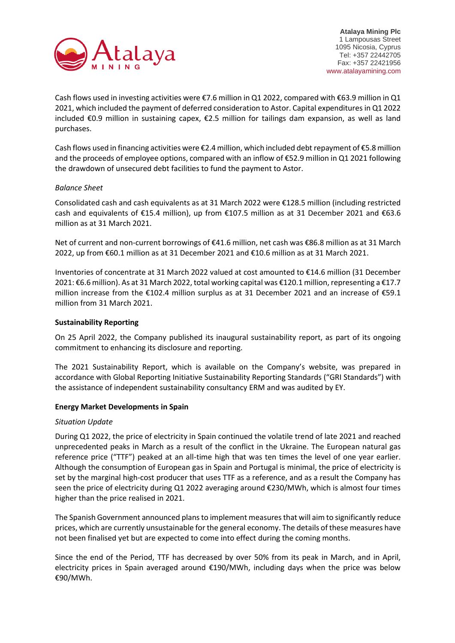

Cash flows used in investing activities were €7.6 million in Q1 2022, compared with €63.9 million in Q1 2021, which included the payment of deferred consideration to Astor. Capital expenditures in Q1 2022 included €0.9 million in sustaining capex, €2.5 million for tailings dam expansion, as well as land purchases.

Cash flows used in financing activities were €2.4 million, which included debt repayment of €5.8 million and the proceeds of employee options, compared with an inflow of €52.9 million in Q1 2021 following the drawdown of unsecured debt facilities to fund the payment to Astor.

## *Balance Sheet*

Consolidated cash and cash equivalents as at 31 March 2022 were €128.5 million (including restricted cash and equivalents of €15.4 million), up from €107.5 million as at 31 December 2021 and €63.6 million as at 31 March 2021.

Net of current and non-current borrowings of €41.6 million, net cash was €86.8 million as at 31 March 2022, up from €60.1 million as at 31 December 2021 and €10.6 million as at 31 March 2021.

Inventories of concentrate at 31 March 2022 valued at cost amounted to €14.6 million (31 December 2021: €6.6 million). As at 31 March 2022, total working capital was €120.1 million, representing a €17.7 million increase from the €102.4 million surplus as at 31 December 2021 and an increase of €59.1 million from 31 March 2021.

## **Sustainability Reporting**

On 25 April 2022, the Company published its inaugural sustainability report, as part of its ongoing commitment to enhancing its disclosure and reporting.

The 2021 Sustainability Report, which is available on the Company's website, was prepared in accordance with Global Reporting Initiative Sustainability Reporting Standards ("GRI Standards") with the assistance of independent sustainability consultancy ERM and was audited by EY.

## **Energy Market Developments in Spain**

### *Situation Update*

During Q1 2022, the price of electricity in Spain continued the volatile trend of late 2021 and reached unprecedented peaks in March as a result of the conflict in the Ukraine. The European natural gas reference price ("TTF") peaked at an all-time high that was ten times the level of one year earlier. Although the consumption of European gas in Spain and Portugal is minimal, the price of electricity is set by the marginal high-cost producer that uses TTF as a reference, and as a result the Company has seen the price of electricity during Q1 2022 averaging around €230/MWh, which is almost four times higher than the price realised in 2021.

The Spanish Government announced plans to implement measures that will aim to significantly reduce prices, which are currently unsustainable for the general economy. The details of these measures have not been finalised yet but are expected to come into effect during the coming months.

Since the end of the Period, TTF has decreased by over 50% from its peak in March, and in April, electricity prices in Spain averaged around €190/MWh, including days when the price was below €90/MWh.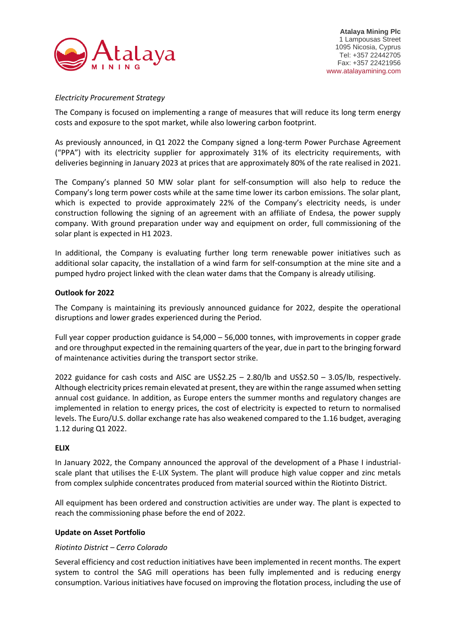

# *Electricity Procurement Strategy*

The Company is focused on implementing a range of measures that will reduce its long term energy costs and exposure to the spot market, while also lowering carbon footprint.

As previously announced, in Q1 2022 the Company signed a long-term Power Purchase Agreement ("PPA") with its electricity supplier for approximately 31% of its electricity requirements, with deliveries beginning in January 2023 at prices that are approximately 80% of the rate realised in 2021.

The Company's planned 50 MW solar plant for self-consumption will also help to reduce the Company's long term power costs while at the same time lower its carbon emissions. The solar plant, which is expected to provide approximately 22% of the Company's electricity needs, is under construction following the signing of an agreement with an affiliate of Endesa, the power supply company. With ground preparation under way and equipment on order, full commissioning of the solar plant is expected in H1 2023.

In additional, the Company is evaluating further long term renewable power initiatives such as additional solar capacity, the installation of a wind farm for self-consumption at the mine site and a pumped hydro project linked with the clean water dams that the Company is already utilising.

# **Outlook for 2022**

The Company is maintaining its previously announced guidance for 2022, despite the operational disruptions and lower grades experienced during the Period.

Full year copper production guidance is 54,000 – 56,000 tonnes, with improvements in copper grade and ore throughput expected in the remaining quarters of the year, due in part to the bringing forward of maintenance activities during the transport sector strike.

2022 guidance for cash costs and AISC are US\$2.25 – 2.80/lb and US\$2.50 – 3.05/lb, respectively. Although electricity prices remain elevated at present, they are within the range assumed when setting annual cost guidance. In addition, as Europe enters the summer months and regulatory changes are implemented in relation to energy prices, the cost of electricity is expected to return to normalised levels. The Euro/U.S. dollar exchange rate has also weakened compared to the 1.16 budget, averaging 1.12 during Q1 2022.

## **ELIX**

In January 2022, the Company announced the approval of the development of a Phase I industrialscale plant that utilises the E-LIX System. The plant will produce high value copper and zinc metals from complex sulphide concentrates produced from material sourced within the Riotinto District.

All equipment has been ordered and construction activities are under way. The plant is expected to reach the commissioning phase before the end of 2022.

## **Update on Asset Portfolio**

## *Riotinto District – Cerro Colorado*

Several efficiency and cost reduction initiatives have been implemented in recent months. The expert system to control the SAG mill operations has been fully implemented and is reducing energy consumption. Various initiatives have focused on improving the flotation process, including the use of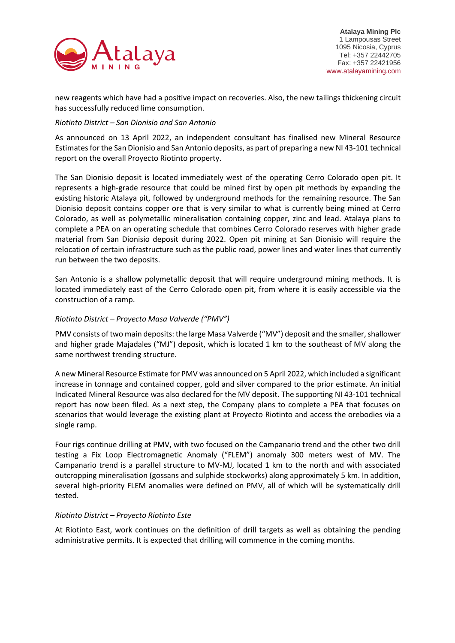

new reagents which have had a positive impact on recoveries. Also, the new tailings thickening circuit has successfully reduced lime consumption.

# *Riotinto District – San Dionisio and San Antonio*

As announced on 13 April 2022, an independent consultant has finalised new Mineral Resource Estimates for the San Dionisio and San Antonio deposits, as part of preparing a new NI 43-101 technical report on the overall Proyecto Riotinto property.

The San Dionisio deposit is located immediately west of the operating Cerro Colorado open pit. It represents a high-grade resource that could be mined first by open pit methods by expanding the existing historic Atalaya pit, followed by underground methods for the remaining resource. The San Dionisio deposit contains copper ore that is very similar to what is currently being mined at Cerro Colorado, as well as polymetallic mineralisation containing copper, zinc and lead. Atalaya plans to complete a PEA on an operating schedule that combines Cerro Colorado reserves with higher grade material from San Dionisio deposit during 2022. Open pit mining at San Dionisio will require the relocation of certain infrastructure such as the public road, power lines and water lines that currently run between the two deposits.

San Antonio is a shallow polymetallic deposit that will require underground mining methods. It is located immediately east of the Cerro Colorado open pit, from where it is easily accessible via the construction of a ramp.

# *Riotinto District – Proyecto Masa Valverde ("PMV")*

PMV consists of two main deposits: the large Masa Valverde ("MV") deposit and the smaller, shallower and higher grade Majadales ("MJ") deposit, which is located 1 km to the southeast of MV along the same northwest trending structure.

A new Mineral Resource Estimate for PMV was announced on 5 April 2022, which included a significant increase in tonnage and contained copper, gold and silver compared to the prior estimate. An initial Indicated Mineral Resource was also declared for the MV deposit. The supporting NI 43-101 technical report has now been filed. As a next step, the Company plans to complete a PEA that focuses on scenarios that would leverage the existing plant at Proyecto Riotinto and access the orebodies via a single ramp.

Four rigs continue drilling at PMV, with two focused on the Campanario trend and the other two drill testing a Fix Loop Electromagnetic Anomaly ("FLEM") anomaly 300 meters west of MV. The Campanario trend is a parallel structure to MV-MJ, located 1 km to the north and with associated outcropping mineralisation (gossans and sulphide stockworks) along approximately 5 km. In addition, several high-priority FLEM anomalies were defined on PMV, all of which will be systematically drill tested.

## *Riotinto District – Proyecto Riotinto Este*

At Riotinto East, work continues on the definition of drill targets as well as obtaining the pending administrative permits. It is expected that drilling will commence in the coming months.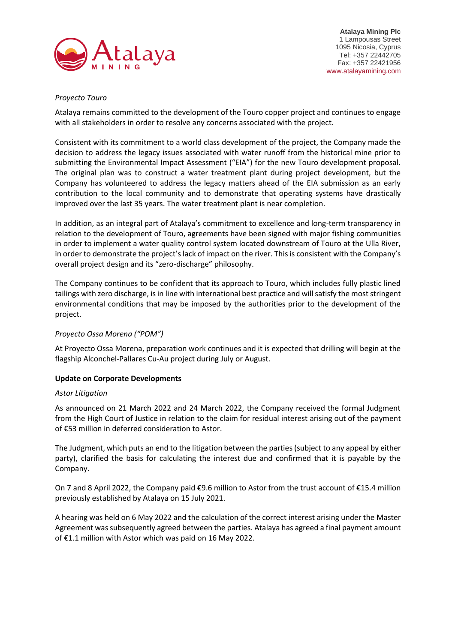

**Atalaya Mining Plc** 1 Lampousas Street 1095 Nicosia, Cyprus Tel: +357 22442705 Fax: +357 22421956 www.atalayamining.com

# *Proyecto Touro*

Atalaya remains committed to the development of the Touro copper project and continues to engage with all stakeholders in order to resolve any concerns associated with the project.

Consistent with its commitment to a world class development of the project, the Company made the decision to address the legacy issues associated with water runoff from the historical mine prior to submitting the Environmental Impact Assessment ("EIA") for the new Touro development proposal. The original plan was to construct a water treatment plant during project development, but the Company has volunteered to address the legacy matters ahead of the EIA submission as an early contribution to the local community and to demonstrate that operating systems have drastically improved over the last 35 years. The water treatment plant is near completion.

In addition, as an integral part of Atalaya's commitment to excellence and long-term transparency in relation to the development of Touro, agreements have been signed with major fishing communities in order to implement a water quality control system located downstream of Touro at the Ulla River, in order to demonstrate the project's lack of impact on the river. This is consistent with the Company's overall project design and its "zero-discharge" philosophy.

The Company continues to be confident that its approach to Touro, which includes fully plastic lined tailings with zero discharge, is in line with international best practice and will satisfy the most stringent environmental conditions that may be imposed by the authorities prior to the development of the project.

## *Proyecto Ossa Morena ("POM")*

At Proyecto Ossa Morena, preparation work continues and it is expected that drilling will begin at the flagship Alconchel-Pallares Cu-Au project during July or August.

## **Update on Corporate Developments**

## *Astor Litigation*

As announced on 21 March 2022 and 24 March 2022, the Company received the formal Judgment from the High Court of Justice in relation to the claim for residual interest arising out of the payment of €53 million in deferred consideration to Astor.

The Judgment, which puts an end to the litigation between the parties (subject to any appeal by either party), clarified the basis for calculating the interest due and confirmed that it is payable by the Company.

On 7 and 8 April 2022, the Company paid €9.6 million to Astor from the trust account of €15.4 million previously established by Atalaya on 15 July 2021.

A hearing was held on 6 May 2022 and the calculation of the correct interest arising under the Master Agreement was subsequently agreed between the parties. Atalaya has agreed a final payment amount of €1.1 million with Astor which was paid on 16 May 2022.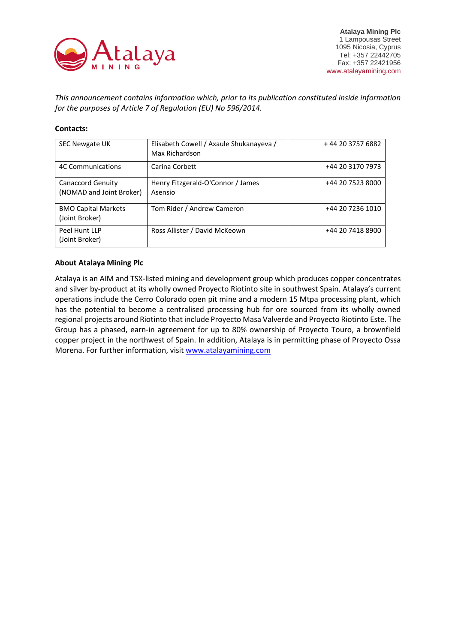

*This announcement contains information which, prior to its publication constituted inside information for the purposes of Article 7 of Regulation (EU) No 596/2014.*

# **Contacts:**

| <b>SEC Newgate UK</b>                                | Elisabeth Cowell / Axaule Shukanayeva /<br>Max Richardson | +44 20 3757 6882 |
|------------------------------------------------------|-----------------------------------------------------------|------------------|
| <b>4C Communications</b>                             | Carina Corbett                                            | +44 20 3170 7973 |
| <b>Canaccord Genuity</b><br>(NOMAD and Joint Broker) | Henry Fitzgerald-O'Connor / James<br>Asensio              | +44 20 7523 8000 |
| <b>BMO Capital Markets</b><br>(Joint Broker)         | Tom Rider / Andrew Cameron                                | +44 20 7236 1010 |
| Peel Hunt LLP<br>(Joint Broker)                      | Ross Allister / David McKeown                             | +44 20 7418 8900 |

## **About Atalaya Mining Plc**

Atalaya is an AIM and TSX-listed mining and development group which produces copper concentrates and silver by-product at its wholly owned Proyecto Riotinto site in southwest Spain. Atalaya's current operations include the Cerro Colorado open pit mine and a modern 15 Mtpa processing plant, which has the potential to become a centralised processing hub for ore sourced from its wholly owned regional projects around Riotinto that include Proyecto Masa Valverde and Proyecto Riotinto Este. The Group has a phased, earn-in agreement for up to 80% ownership of Proyecto Touro, a brownfield copper project in the northwest of Spain. In addition, Atalaya is in permitting phase of Proyecto Ossa Morena. For further information, visit [www.atalayamining.com](http://www.atalayamining.com/)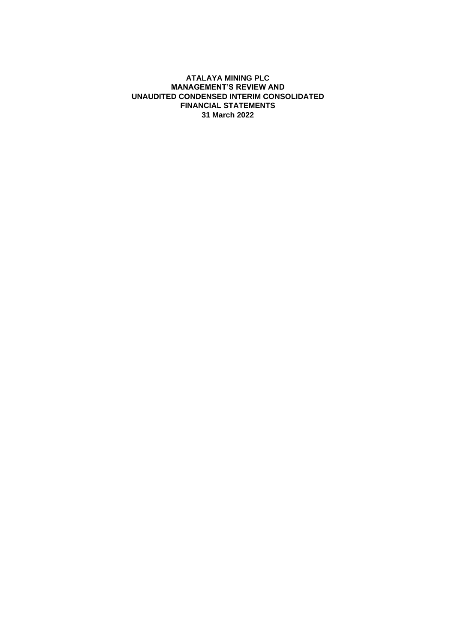## **ATALAYA MINING PLC MANAGEMENT'S REVIEW AND UNAUDITED CONDENSED INTERIM CONSOLIDATED FINANCIAL STATEMENTS 31 March 2022**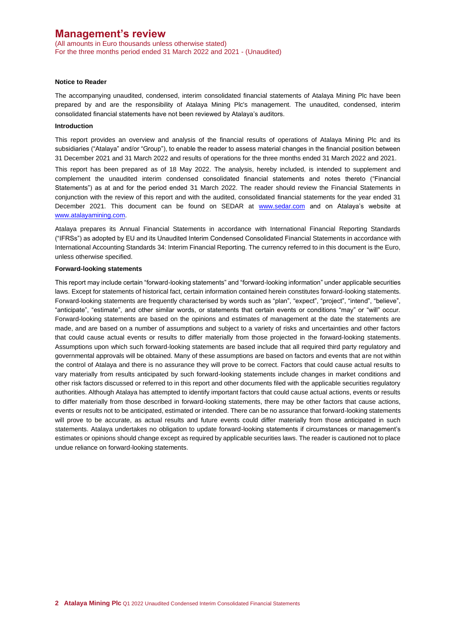(All amounts in Euro thousands unless otherwise stated) For the three months period ended 31 March 2022 and 2021 - (Unaudited)

#### **Notice to Reader**

The accompanying unaudited, condensed, interim consolidated financial statements of Atalaya Mining Plc have been prepared by and are the responsibility of Atalaya Mining Plc's management. The unaudited, condensed, interim consolidated financial statements have not been reviewed by Atalaya's auditors.

#### **Introduction**

This report provides an overview and analysis of the financial results of operations of Atalaya Mining Plc and its subsidiaries ("Atalaya" and/or "Group"), to enable the reader to assess material changes in the financial position between 31 December 2021 and 31 March 2022 and results of operations for the three months ended 31 March 2022 and 2021.

This report has been prepared as of 18 May 2022. The analysis, hereby included, is intended to supplement and complement the unaudited interim condensed consolidated financial statements and notes thereto ("Financial Statements") as at and for the period ended 31 March 2022. The reader should review the Financial Statements in conjunction with the review of this report and with the audited, consolidated financial statements for the year ended 31 December 2021. This document can be found on SEDAR at [www.sedar.com](http://www.sedar.com/) and on Atalaya's website at [www.atalayamining.com.](http://www.atalayamining.com/)

Atalaya prepares its Annual Financial Statements in accordance with International Financial Reporting Standards ("IFRSs") as adopted by EU and its Unaudited Interim Condensed Consolidated Financial Statements in accordance with International Accounting Standards 34: Interim Financial Reporting. The currency referred to in this document is the Euro, unless otherwise specified.

#### **Forward-looking statements**

This report may include certain "forward-looking statements" and "forward-looking information" under applicable securities laws. Except for statements of historical fact, certain information contained herein constitutes forward-looking statements. Forward-looking statements are frequently characterised by words such as "plan", "expect", "project", "intend", "believe", "anticipate", "estimate", and other similar words, or statements that certain events or conditions "may" or "will" occur. Forward-looking statements are based on the opinions and estimates of management at the date the statements are made, and are based on a number of assumptions and subject to a variety of risks and uncertainties and other factors that could cause actual events or results to differ materially from those projected in the forward-looking statements. Assumptions upon which such forward-looking statements are based include that all required third party regulatory and governmental approvals will be obtained. Many of these assumptions are based on factors and events that are not within the control of Atalaya and there is no assurance they will prove to be correct. Factors that could cause actual results to vary materially from results anticipated by such forward-looking statements include changes in market conditions and other risk factors discussed or referred to in this report and other documents filed with the applicable securities regulatory authorities. Although Atalaya has attempted to identify important factors that could cause actual actions, events or results to differ materially from those described in forward-looking statements, there may be other factors that cause actions, events or results not to be anticipated, estimated or intended. There can be no assurance that forward-looking statements will prove to be accurate, as actual results and future events could differ materially from those anticipated in such statements. Atalaya undertakes no obligation to update forward-looking statements if circumstances or management's estimates or opinions should change except as required by applicable securities laws. The reader is cautioned not to place undue reliance on forward-looking statements.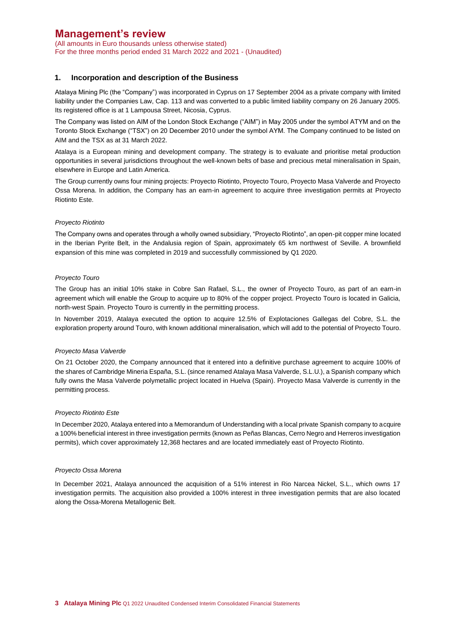(All amounts in Euro thousands unless otherwise stated) For the three months period ended 31 March 2022 and 2021 - (Unaudited)

### **1. Incorporation and description of the Business**

Atalaya Mining Plc (the "Company") was incorporated in Cyprus on 17 September 2004 as a private company with limited liability under the Companies Law, Cap. 113 and was converted to a public limited liability company on 26 January 2005. Its registered office is at 1 Lampousa Street, Nicosia, Cyprus.

The Company was listed on AIM of the London Stock Exchange ("AIM") in May 2005 under the symbol ATYM and on the Toronto Stock Exchange ("TSX") on 20 December 2010 under the symbol AYM. The Company continued to be listed on AIM and the TSX as at 31 March 2022.

Atalaya is a European mining and development company. The strategy is to evaluate and prioritise metal production opportunities in several jurisdictions throughout the well-known belts of base and precious metal mineralisation in Spain, elsewhere in Europe and Latin America.

The Group currently owns four mining projects: Proyecto Riotinto, Proyecto Touro, Proyecto Masa Valverde and Proyecto Ossa Morena. In addition, the Company has an earn-in agreement to acquire three investigation permits at Proyecto Riotinto Este.

### *Proyecto Riotinto*

The Company owns and operates through a wholly owned subsidiary, "Proyecto Riotinto", an open-pit copper mine located in the Iberian Pyrite Belt, in the Andalusia region of Spain, approximately 65 km northwest of Seville. A brownfield expansion of this mine was completed in 2019 and successfully commissioned by Q1 2020.

#### *Proyecto Touro*

The Group has an initial 10% stake in Cobre San Rafael, S.L., the owner of Proyecto Touro, as part of an earn-in agreement which will enable the Group to acquire up to 80% of the copper project. Proyecto Touro is located in Galicia, north-west Spain. Proyecto Touro is currently in the permitting process.

In November 2019, Atalaya executed the option to acquire 12.5% of Explotaciones Gallegas del Cobre, S.L. the exploration property around Touro, with known additional mineralisation, which will add to the potential of Proyecto Touro.

#### *Proyecto Masa Valverde*

On 21 October 2020, the Company announced that it entered into a definitive purchase agreement to acquire 100% of the shares of Cambridge Mineria España, S.L. (since renamed Atalaya Masa Valverde, S.L.U.), a Spanish company which fully owns the Masa Valverde polymetallic project located in Huelva (Spain). Proyecto Masa Valverde is currently in the permitting process.

#### *Proyecto Riotinto Este*

In December 2020, Atalaya entered into a Memorandum of Understanding with a local private Spanish company to acquire a 100% beneficial interest in three investigation permits (known as Peñas Blancas, Cerro Negro and Herreros investigation permits), which cover approximately 12,368 hectares and are located immediately east of Proyecto Riotinto.

#### *Proyecto Ossa Morena*

In December 2021, Atalaya announced the acquisition of a 51% interest in Rio Narcea Nickel, S.L., which owns 17 investigation permits. The acquisition also provided a 100% interest in three investigation permits that are also located along the Ossa-Morena Metallogenic Belt.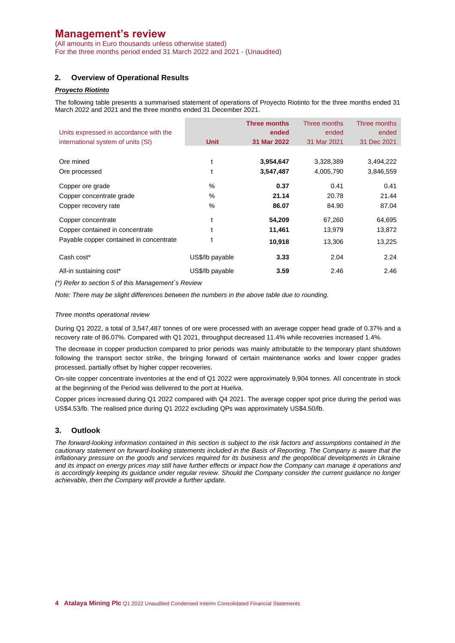(All amounts in Euro thousands unless otherwise stated) For the three months period ended 31 March 2022 and 2021 - (Unaudited)

# **2. Overview of Operational Results**

# *Proyecto Riotinto*

The following table presents a summarised statement of operations of Proyecto Riotinto for the three months ended 31 March 2022 and 2021 and the three months ended 31 December 2021.

| Units expressed in accordance with the<br>international system of units (SI) | <b>Unit</b>     | Three months<br>ended<br>31 Mar 2022 | Three months<br>ended<br>31 Mar 2021 | Three months<br>ended<br>31 Dec 2021 |
|------------------------------------------------------------------------------|-----------------|--------------------------------------|--------------------------------------|--------------------------------------|
| Ore mined                                                                    | t               | 3,954,647                            | 3,328,389                            | 3,494,222                            |
| Ore processed                                                                |                 | 3,547,487                            | 4,005,790                            | 3,846,559                            |
| Copper ore grade                                                             | $\%$            | 0.37                                 | 0.41                                 | 0.41                                 |
| Copper concentrate grade                                                     | $\%$            | 21.14                                | 20.78                                | 21.44                                |
| Copper recovery rate                                                         | $\%$            | 86.07                                | 84.90                                | 87.04                                |
| Copper concentrate                                                           |                 | 54,209                               | 67,260                               | 64,695                               |
| Copper contained in concentrate                                              |                 | 11,461                               | 13,979                               | 13,872                               |
| Payable copper contained in concentrate                                      |                 | 10,918                               | 13,306                               | 13,225                               |
| Cash cost*                                                                   | US\$/lb payable | 3.33                                 | 2.04                                 | 2.24                                 |
| All-in sustaining cost*                                                      | US\$/lb payable | 3.59                                 | 2.46                                 | 2.46                                 |

*(\*) Refer to section 5 of this Management´s Review* 

*Note: There may be slight differences between the numbers in the above table due to rounding.*

#### *Three months operational review*

During Q1 2022, a total of 3,547,487 tonnes of ore were processed with an average copper head grade of 0.37% and a recovery rate of 86.07%. Compared with Q1 2021, throughput decreased 11.4% while recoveries increased 1.4%.

The decrease in copper production compared to prior periods was mainly attributable to the temporary plant shutdown following the transport sector strike, the bringing forward of certain maintenance works and lower copper grades processed, partially offset by higher copper recoveries.

On-site copper concentrate inventories at the end of Q1 2022 were approximately 9,904 tonnes. All concentrate in stock at the beginning of the Period was delivered to the port at Huelva.

Copper prices increased during Q1 2022 compared with Q4 2021. The average copper spot price during the period was US\$4.53/lb. The realised price during Q1 2022 excluding QPs was approximately US\$4.50/lb.

### **3. Outlook**

*The forward-looking information contained in this section is subject to the risk factors and assumptions contained in the cautionary statement on forward-looking statements included in the Basis of Reporting. The Company is aware that the inflationary pressure on the goods and services required for its business and the geopolitical developments in Ukraine and its impact on energy prices may still have further effects or impact how the Company can manage it operations and is accordingly keeping its guidance under regular review. Should the Company consider the current guidance no longer achievable, then the Company will provide a further update.*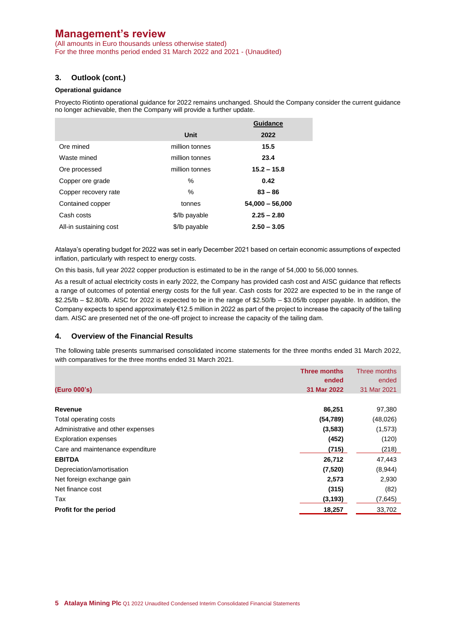(All amounts in Euro thousands unless otherwise stated) For the three months period ended 31 March 2022 and 2021 - (Unaudited)

# **3. Outlook (cont.)**

### **Operational guidance**

Proyecto Riotinto operational guidance for 2022 remains unchanged. Should the Company consider the current guidance no longer achievable, then the Company will provide a further update.

|                        |                | Guidance          |
|------------------------|----------------|-------------------|
|                        | Unit           | 2022              |
| Ore mined              | million tonnes | 15.5              |
| Waste mined            | million tonnes | 23.4              |
| Ore processed          | million tonnes | $15.2 - 15.8$     |
| Copper ore grade       | ℅              | 0.42              |
| Copper recovery rate   | $\%$           | $83 - 86$         |
| Contained copper       | tonnes         | $54,000 - 56,000$ |
| Cash costs             | \$/lb payable  | $2.25 - 2.80$     |
| All-in sustaining cost | \$/lb payable  | $2.50 - 3.05$     |

Atalaya's operating budget for 2022 was set in early December 2021 based on certain economic assumptions of expected inflation, particularly with respect to energy costs.

On this basis, full year 2022 copper production is estimated to be in the range of 54,000 to 56,000 tonnes.

As a result of actual electricity costs in early 2022, the Company has provided cash cost and AISC guidance that reflects a range of outcomes of potential energy costs for the full year. Cash costs for 2022 are expected to be in the range of \$2.25/lb – \$2.80/lb. AISC for 2022 is expected to be in the range of \$2.50/lb – \$3.05/lb copper payable. In addition, the Company expects to spend approximately €12.5 million in 2022 as part of the project to increase the capacity of the tailing dam. AISC are presented net of the one-off project to increase the capacity of the tailing dam.

### **4. Overview of the Financial Results**

The following table presents summarised consolidated income statements for the three months ended 31 March 2022, with comparatives for the three months ended 31 March 2021.

|                                   | <b>Three months</b> | Three months |
|-----------------------------------|---------------------|--------------|
|                                   | ended               | ended        |
| (Euro 000's)                      | 31 Mar 2022         | 31 Mar 2021  |
|                                   |                     |              |
| <b>Revenue</b>                    | 86,251              | 97,380       |
| Total operating costs             | (54, 789)           | (48,026)     |
| Administrative and other expenses | (3,583)             | (1, 573)     |
| <b>Exploration expenses</b>       | (452)               | (120)        |
| Care and maintenance expenditure  | (715)               | (218)        |
| <b>EBITDA</b>                     | 26,712              | 47,443       |
| Depreciation/amortisation         | (7,520)             | (8,944)      |
| Net foreign exchange gain         | 2,573               | 2,930        |
| Net finance cost                  | (315)               | (82)         |
| Tax                               | (3, 193)            | (7,645)      |
| Profit for the period             | 18,257              | 33,702       |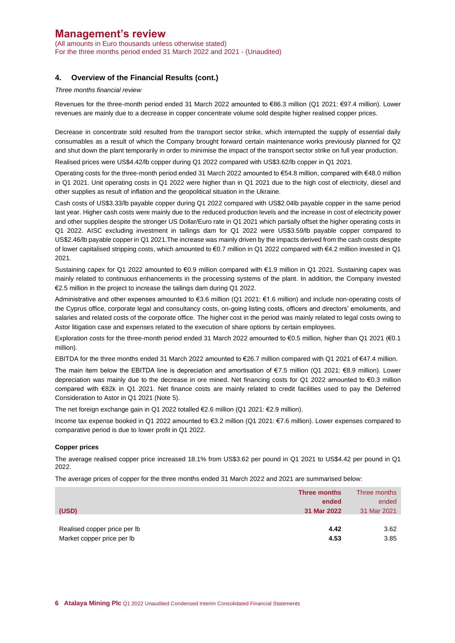(All amounts in Euro thousands unless otherwise stated) For the three months period ended 31 March 2022 and 2021 - (Unaudited)

## **4. Overview of the Financial Results (cont.)**

#### *Three months financial review*

Revenues for the three-month period ended 31 March 2022 amounted to €86.3 million (Q1 2021: €97.4 million). Lower revenues are mainly due to a decrease in copper concentrate volume sold despite higher realised copper prices.

Decrease in concentrate sold resulted from the transport sector strike, which interrupted the supply of essential daily consumables as a result of which the Company brought forward certain maintenance works previously planned for Q2 and shut down the plant temporarily in order to minimise the impact of the transport sector strike on full year production.

Realised prices were US\$4.42/lb copper during Q1 2022 compared with US\$3.62/lb copper in Q1 2021.

Operating costs for the three-month period ended 31 March 2022 amounted to €54.8 million, compared with €48.0 million in Q1 2021. Unit operating costs in Q1 2022 were higher than in Q1 2021 due to the high cost of electricity, diesel and other supplies as result of inflation and the geopolitical situation in the Ukraine.

Cash costs of US\$3.33/lb payable copper during Q1 2022 compared with US\$2.04lb payable copper in the same period last year. Higher cash costs were mainly due to the reduced production levels and the increase in cost of electricity power and other supplies despite the stronger US Dollar/Euro rate in Q1 2021 which partially offset the higher operating costs in Q1 2022. AISC excluding investment in tailings dam for Q1 2022 were US\$3.59/lb payable copper compared to US\$2.46/lb payable copper in Q1 2021.The increase was mainly driven by the impacts derived from the cash costs despite of lower capitalised stripping costs, which amounted to €0.7 million in Q1 2022 compared with €4.2 million invested in Q1 2021.

Sustaining capex for Q1 2022 amounted to €0.9 million compared with €1.9 million in Q1 2021. Sustaining capex was mainly related to continuous enhancements in the processing systems of the plant. In addition, the Company invested €2.5 million in the project to increase the tailings dam during Q1 2022.

Administrative and other expenses amounted to €3.6 million (Q1 2021: €1.6 million) and include non-operating costs of the Cyprus office, corporate legal and consultancy costs, on-going listing costs, officers and directors' emoluments, and salaries and related costs of the corporate office. The higher cost in the period was mainly related to legal costs owing to Astor litigation case and expenses related to the execution of share options by certain employees.

Exploration costs for the three-month period ended 31 March 2022 amounted to €0.5 million, higher than Q1 2021 (€0.1 million).

EBITDA for the three months ended 31 March 2022 amounted to €26.7 million compared with Q1 2021 of €47.4 million.

The main item below the EBITDA line is depreciation and amortisation of €7.5 million (Q1 2021: €8.9 million). Lower depreciation was mainly due to the decrease in ore mined. Net financing costs for Q1 2022 amounted to €0.3 million compared with €82k in Q1 2021. Net finance costs are mainly related to credit facilities used to pay the Deferred Consideration to Astor in Q1 2021 (Note 5).

The net foreign exchange gain in Q1 2022 totalled €2.6 million (Q1 2021: €2.9 million).

Income tax expense booked in Q1 2022 amounted to €3.2 million (Q1 2021: €7.6 million). Lower expenses compared to comparative period is due to lower profit in Q1 2022.

#### **Copper prices**

The average realised copper price increased 18.1% from US\$3.62 per pound in Q1 2021 to US\$4.42 per pound in Q1 2022.

The average prices of copper for the three months ended 31 March 2022 and 2021 are summarised below:

|                              | Three months | Three months |
|------------------------------|--------------|--------------|
|                              | ended        | ended        |
| (USD)                        | 31 Mar 2022  | 31 Mar 2021  |
|                              |              |              |
| Realised copper price per lb | 4.42         | 3.62         |
| Market copper price per Ib   | 4.53         | 3.85         |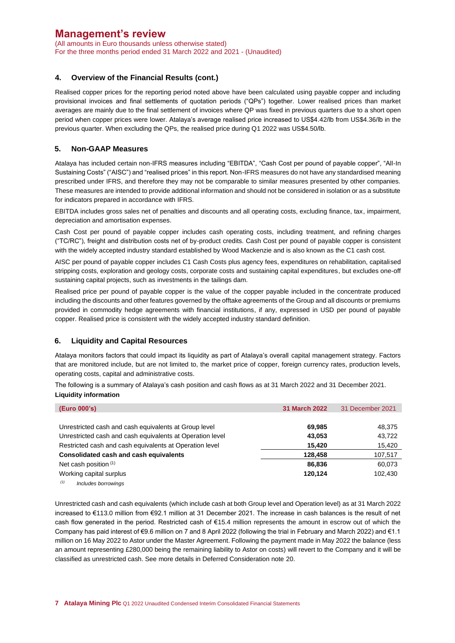(All amounts in Euro thousands unless otherwise stated) For the three months period ended 31 March 2022 and 2021 - (Unaudited)

# **4. Overview of the Financial Results (cont.)**

Realised copper prices for the reporting period noted above have been calculated using payable copper and including provisional invoices and final settlements of quotation periods ("QPs") together. Lower realised prices than market averages are mainly due to the final settlement of invoices where QP was fixed in previous quarters due to a short open period when copper prices were lower. Atalaya's average realised price increased to US\$4.42/lb from US\$4.36/lb in the previous quarter. When excluding the QPs, the realised price during Q1 2022 was US\$4.50/lb.

### **5. Non-GAAP Measures**

Atalaya has included certain non-IFRS measures including "EBITDA", "Cash Cost per pound of payable copper", "All-In Sustaining Costs" ("AISC") and "realised prices" in this report. Non-IFRS measures do not have any standardised meaning prescribed under IFRS, and therefore they may not be comparable to similar measures presented by other companies. These measures are intended to provide additional information and should not be considered in isolation or as a substitute for indicators prepared in accordance with IFRS.

EBITDA includes gross sales net of penalties and discounts and all operating costs, excluding finance, tax, impairment, depreciation and amortisation expenses.

Cash Cost per pound of payable copper includes cash operating costs, including treatment, and refining charges ("TC/RC"), freight and distribution costs net of by-product credits. Cash Cost per pound of payable copper is consistent with the widely accepted industry standard established by Wood Mackenzie and is also known as the C1 cash cost.

AISC per pound of payable copper includes C1 Cash Costs plus agency fees, expenditures on rehabilitation, capitalised stripping costs, exploration and geology costs, corporate costs and sustaining capital expenditures, but excludes one-off sustaining capital projects, such as investments in the tailings dam.

Realised price per pound of payable copper is the value of the copper payable included in the concentrate produced including the discounts and other features governed by the offtake agreements of the Group and all discounts or premiums provided in commodity hedge agreements with financial institutions, if any, expressed in USD per pound of payable copper. Realised price is consistent with the widely accepted industry standard definition.

## **6. Liquidity and Capital Resources**

Atalaya monitors factors that could impact its liquidity as part of Atalaya's overall capital management strategy. Factors that are monitored include, but are not limited to, the market price of copper, foreign currency rates, production levels, operating costs, capital and administrative costs.

The following is a summary of Atalaya's cash position and cash flows as at 31 March 2022 and 31 December 2021. **Liquidity information**

| (Euro 000's)                                              | <b>31 March 2022</b> | 31 December 2021 |
|-----------------------------------------------------------|----------------------|------------------|
|                                                           |                      |                  |
| Unrestricted cash and cash equivalents at Group level     | 69,985               | 48,375           |
| Unrestricted cash and cash equivalents at Operation level | 43,053               | 43,722           |
| Restricted cash and cash equivalents at Operation level   | 15,420               | 15,420           |
| Consolidated cash and cash equivalents                    | 128,458              | 107,517          |
| Net cash position (1)                                     | 86.836               | 60,073           |
| Working capital surplus                                   | 120.124              | 102,430          |
| (1)<br>Includes borrowings                                |                      |                  |

Unrestricted cash and cash equivalents (which include cash at both Group level and Operation level) as at 31 March 2022 increased to €113.0 million from €92.1 million at 31 December 2021. The increase in cash balances is the result of net cash flow generated in the period. Restricted cash of €15.4 million represents the amount in escrow out of which the Company has paid interest of €9.6 million on 7 and 8 April 2022 (following the trial in February and March 2022) and €1.1 million on 16 May 2022 to Astor under the Master Agreement. Following the payment made in May 2022 the balance (less an amount representing £280,000 being the remaining liability to Astor on costs) will revert to the Company and it will be classified as unrestricted cash. See more details in Deferred Consideration note 20.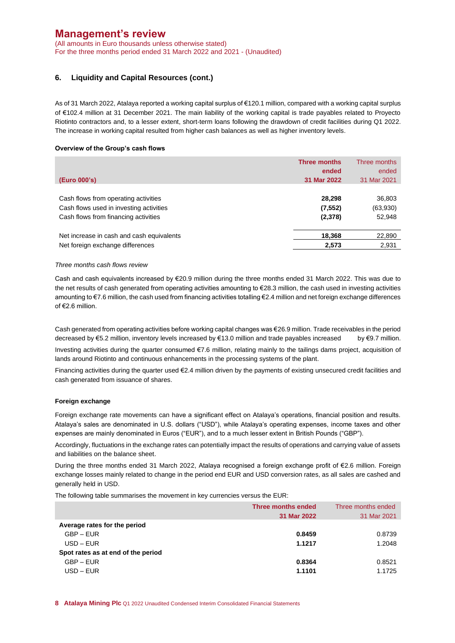(All amounts in Euro thousands unless otherwise stated) For the three months period ended 31 March 2022 and 2021 - (Unaudited)

## **6. Liquidity and Capital Resources (cont.)**

As of 31 March 2022, Atalaya reported a working capital surplus of €120.1 million, compared with a working capital surplus of €102.4 million at 31 December 2021. The main liability of the working capital is trade payables related to Proyecto Riotinto contractors and, to a lesser extent, short-term loans following the drawdown of credit facilities during Q1 2022. The increase in working capital resulted from higher cash balances as well as higher inventory levels.

#### **Overview of the Group's cash flows**

|                                           | <b>Three months</b> | Three months |
|-------------------------------------------|---------------------|--------------|
|                                           | ended               | ended        |
| (Euro 000's)                              | 31 Mar 2022         | 31 Mar 2021  |
|                                           |                     |              |
| Cash flows from operating activities      | 28,298              | 36,803       |
| Cash flows used in investing activities   | (7, 552)            | (63,930)     |
| Cash flows from financing activities      | (2,378)             | 52,948       |
| Net increase in cash and cash equivalents | 18,368              | 22,890       |
| Net foreign exchange differences          | 2,573               | 2,931        |

#### *Three months cash flows review*

Cash and cash equivalents increased by €20.9 million during the three months ended 31 March 2022. This was due to the net results of cash generated from operating activities amounting to €28.3 million, the cash used in investing activities amounting to €7.6 million, the cash used from financing activities totalling €2.4 million and net foreign exchange differences of €2.6 million.

Cash generated from operating activities before working capital changes was €26.9 million. Trade receivables in the period decreased by €5.2 million, inventory levels increased by €13.0 million and trade payables increased by €9.7 million. Investing activities during the quarter consumed €7.6 million, relating mainly to the tailings dams project, acquisition of lands around Riotinto and continuous enhancements in the processing systems of the plant.

Financing activities during the quarter used €2.4 million driven by the payments of existing unsecured credit facilities and cash generated from issuance of shares.

#### **Foreign exchange**

Foreign exchange rate movements can have a significant effect on Atalaya's operations, financial position and results. Atalaya's sales are denominated in U.S. dollars ("USD"), while Atalaya's operating expenses, income taxes and other expenses are mainly denominated in Euros ("EUR"), and to a much lesser extent in British Pounds ("GBP").

Accordingly, fluctuations in the exchange rates can potentially impact the results of operations and carrying value of assets and liabilities on the balance sheet.

During the three months ended 31 March 2022, Atalaya recognised a foreign exchange profit of €2.6 million. Foreign exchange losses mainly related to change in the period end EUR and USD conversion rates, as all sales are cashed and generally held in USD.

The following table summarises the movement in key currencies versus the EUR:

|                                    | Three months ended<br>31 Mar 2022 | Three months ended<br>31 Mar 2021 |
|------------------------------------|-----------------------------------|-----------------------------------|
| Average rates for the period       |                                   |                                   |
| $GBP - EUR$                        | 0.8459                            | 0.8739                            |
| $USD$ – EUR                        | 1.1217                            | 1.2048                            |
| Spot rates as at end of the period |                                   |                                   |
| $GBP - EUR$                        | 0.8364                            | 0.8521                            |
| $USD$ – EUR                        | 1.1101                            | 1.1725                            |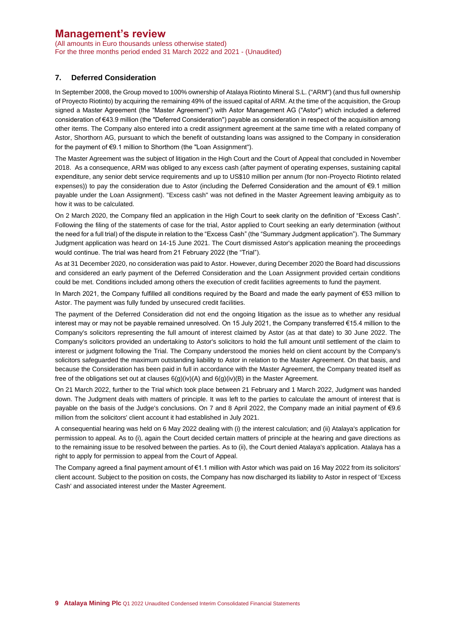(All amounts in Euro thousands unless otherwise stated) For the three months period ended 31 March 2022 and 2021 - (Unaudited)

## **7. Deferred Consideration**

In September 2008, the Group moved to 100% ownership of Atalaya Riotinto Mineral S.L. ("ARM") (and thus full ownership of Proyecto Riotinto) by acquiring the remaining 49% of the issued capital of ARM. At the time of the acquisition, the Group signed a Master Agreement (the "Master Agreement") with Astor Management AG ("Astor") which included a deferred consideration of €43.9 million (the "Deferred Consideration") payable as consideration in respect of the acquisition among other items. The Company also entered into a credit assignment agreement at the same time with a related company of Astor, Shorthorn AG, pursuant to which the benefit of outstanding loans was assigned to the Company in consideration for the payment of €9.1 million to Shorthorn (the "Loan Assignment").

The Master Agreement was the subject of litigation in the High Court and the Court of Appeal that concluded in November 2018. As a consequence, ARM was obliged to any excess cash (after payment of operating expenses, sustaining capital expenditure, any senior debt service requirements and up to US\$10 million per annum (for non-Proyecto Riotinto related expenses)) to pay the consideration due to Astor (including the Deferred Consideration and the amount of €9.1 million payable under the Loan Assignment). "Excess cash" was not defined in the Master Agreement leaving ambiguity as to how it was to be calculated.

On 2 March 2020, the Company filed an application in the High Court to seek clarity on the definition of "Excess Cash". Following the filing of the statements of case for the trial, Astor applied to Court seeking an early determination (without the need for a full trial) of the dispute in relation to the "Excess Cash" (the "Summary Judgment application"). The Summary Judgment application was heard on 14-15 June 2021. The Court dismissed Astor's application meaning the proceedings would continue. The trial was heard from 21 February 2022 (the "Trial").

As at 31 December 2020, no consideration was paid to Astor. However, during December 2020 the Board had discussions and considered an early payment of the Deferred Consideration and the Loan Assignment provided certain conditions could be met. Conditions included among others the execution of credit facilities agreements to fund the payment.

In March 2021, the Company fulfilled all conditions required by the Board and made the early payment of €53 million to Astor. The payment was fully funded by unsecured credit facilities.

The payment of the Deferred Consideration did not end the ongoing litigation as the issue as to whether any residual interest may or may not be payable remained unresolved. On 15 July 2021, the Company transferred €15.4 million to the Company's solicitors representing the full amount of interest claimed by Astor (as at that date) to 30 June 2022. The Company's solicitors provided an undertaking to Astor's solicitors to hold the full amount until settlement of the claim to interest or judgment following the Trial. The Company understood the monies held on client account by the Company's solicitors safeguarded the maximum outstanding liability to Astor in relation to the Master Agreement. On that basis, and because the Consideration has been paid in full in accordance with the Master Agreement, the Company treated itself as free of the obligations set out at clauses 6(g)(iv)(A) and 6(g)(iv)(B) in the Master Agreement.

On 21 March 2022, further to the Trial which took place between 21 February and 1 March 2022, Judgment was handed down. The Judgment deals with matters of principle. It was left to the parties to calculate the amount of interest that is payable on the basis of the Judge's conclusions. On 7 and 8 April 2022, the Company made an initial payment of €9.6 million from the solicitors' client account it had established in July 2021.

A consequential hearing was held on 6 May 2022 dealing with (i) the interest calculation; and (ii) Atalaya's application for permission to appeal. As to (i), again the Court decided certain matters of principle at the hearing and gave directions as to the remaining issue to be resolved between the parties. As to (ii), the Court denied Atalaya's application. Atalaya has a right to apply for permission to appeal from the Court of Appeal.

The Company agreed a final payment amount of €1.1 million with Astor which was paid on 16 May 2022 from its solicitors' client account. Subject to the position on costs, the Company has now discharged its liability to Astor in respect of 'Excess Cash' and associated interest under the Master Agreement.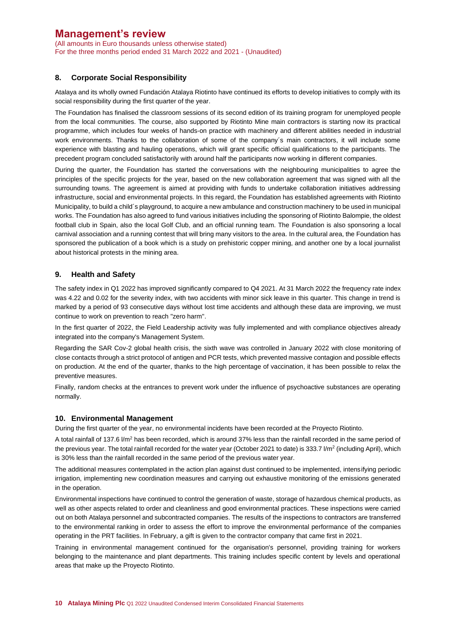(All amounts in Euro thousands unless otherwise stated) For the three months period ended 31 March 2022 and 2021 - (Unaudited)

## **8. Corporate Social Responsibility**

Atalaya and its wholly owned Fundación Atalaya Riotinto have continued its efforts to develop initiatives to comply with its social responsibility during the first quarter of the year.

The Foundation has finalised the classroom sessions of its second edition of its training program for unemployed people from the local communities. The course, also supported by Riotinto Mine main contractors is starting now its practical programme, which includes four weeks of hands-on practice with machinery and different abilities needed in industrial work environments. Thanks to the collaboration of some of the company´s main contractors, it will include some experience with blasting and hauling operations, which will grant specific official qualifications to the participants. The precedent program concluded satisfactorily with around half the participants now working in different companies.

During the quarter, the Foundation has started the conversations with the neighbouring municipalities to agree the principles of the specific projects for the year, based on the new collaboration agreement that was signed with all the surrounding towns. The agreement is aimed at providing with funds to undertake collaboration initiatives addressing infrastructure, social and environmental projects. In this regard, the Foundation has established agreements with Riotinto Municipality, to build a child´s playground, to acquire a new ambulance and construction machinery to be used in municipal works. The Foundation has also agreed to fund various initiatives including the sponsoring of Riotinto Balompie, the oldest football club in Spain, also the local Golf Club, and an official running team. The Foundation is also sponsoring a local carnival association and a running contest that will bring many visitors to the area. In the cultural area, the Foundation has sponsored the publication of a book which is a study on prehistoric copper mining, and another one by a local journalist about historical protests in the mining area.

### **9. Health and Safety**

The safety index in Q1 2022 has improved significantly compared to Q4 2021. At 31 March 2022 the frequency rate index was 4.22 and 0.02 for the severity index, with two accidents with minor sick leave in this quarter. This change in trend is marked by a period of 93 consecutive days without lost time accidents and although these data are improving, we must continue to work on prevention to reach "zero harm".

In the first quarter of 2022, the Field Leadership activity was fully implemented and with compliance objectives already integrated into the company's Management System.

Regarding the SAR Cov-2 global health crisis, the sixth wave was controlled in January 2022 with close monitoring of close contacts through a strict protocol of antigen and PCR tests, which prevented massive contagion and possible effects on production. At the end of the quarter, thanks to the high percentage of vaccination, it has been possible to relax the preventive measures.

Finally, random checks at the entrances to prevent work under the influence of psychoactive substances are operating normally.

### **10. Environmental Management**

During the first quarter of the year, no environmental incidents have been recorded at the Proyecto Riotinto.

A total rainfall of 137.6  $Vm^2$  has been recorded, which is around 37% less than the rainfall recorded in the same period of the previous year. The total rainfall recorded for the water year (October 2021 to date) is 333.7 I/m<sup>2</sup> (including April), which is 30% less than the rainfall recorded in the same period of the previous water year.

The additional measures contemplated in the action plan against dust continued to be implemented, intensifying periodic irrigation, implementing new coordination measures and carrying out exhaustive monitoring of the emissions generated in the operation.

Environmental inspections have continued to control the generation of waste, storage of hazardous chemical products, as well as other aspects related to order and cleanliness and good environmental practices. These inspections were carried out on both Atalaya personnel and subcontracted companies. The results of the inspections to contractors are transferred to the environmental ranking in order to assess the effort to improve the environmental performance of the companies operating in the PRT facilities. In February, a gift is given to the contractor company that came first in 2021.

Training in environmental management continued for the organisation's personnel, providing training for workers belonging to the maintenance and plant departments. This training includes specific content by levels and operational areas that make up the Proyecto Riotinto.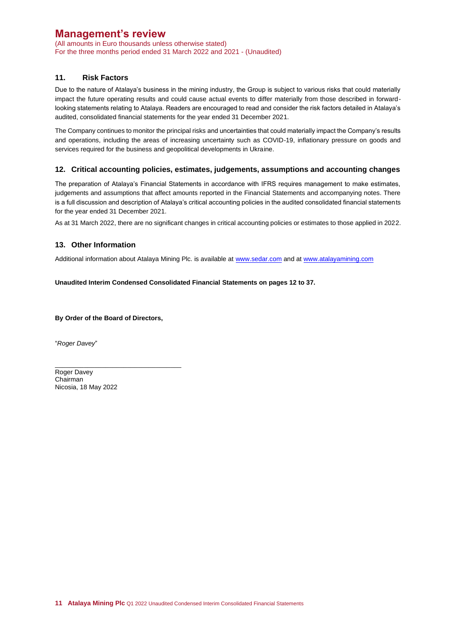(All amounts in Euro thousands unless otherwise stated) For the three months period ended 31 March 2022 and 2021 - (Unaudited)

## **11. Risk Factors**

Due to the nature of Atalaya's business in the mining industry, the Group is subject to various risks that could materially impact the future operating results and could cause actual events to differ materially from those described in forwardlooking statements relating to Atalaya. Readers are encouraged to read and consider the risk factors detailed in Atalaya's audited, consolidated financial statements for the year ended 31 December 2021.

The Company continues to monitor the principal risks and uncertainties that could materially impact the Company's results and operations, including the areas of increasing uncertainty such as COVID-19, inflationary pressure on goods and services required for the business and geopolitical developments in Ukraine.

### **12. Critical accounting policies, estimates, judgements, assumptions and accounting changes**

The preparation of Atalaya's Financial Statements in accordance with IFRS requires management to make estimates, judgements and assumptions that affect amounts reported in the Financial Statements and accompanying notes. There is a full discussion and description of Atalaya's critical accounting policies in the audited consolidated financial statements for the year ended 31 December 2021.

As at 31 March 2022, there are no significant changes in critical accounting policies or estimates to those applied in 2022.

## **13. Other Information**

Additional information about Atalaya Mining Plc. is available at [www.sedar.com](http://www.sedar.com/) and at [www.atalayamining.com](http://www.atalayamining.com/)

### **Unaudited Interim Condensed Consolidated Financial Statements on pages 12 to 37.**

**By Order of the Board of Directors,**

"*Roger Davey*"

\_\_\_\_\_\_\_\_\_\_\_\_\_\_\_\_\_\_\_\_\_\_\_\_\_\_\_\_\_\_\_\_\_\_\_ Roger Davey Chairman Nicosia, 18 May 2022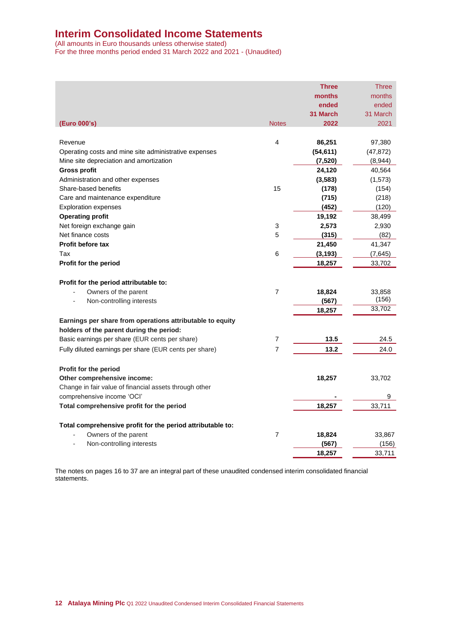# **Interim Consolidated Income Statements**

(All amounts in Euro thousands unless otherwise stated) For the three months period ended 31 March 2022 and 2021 - (Unaudited)

|                                                            |                | <b>Three</b> | Three     |
|------------------------------------------------------------|----------------|--------------|-----------|
|                                                            |                | months       | months    |
|                                                            |                | ended        | ended     |
|                                                            |                | 31 March     | 31 March  |
| (Euro 000's)                                               | <b>Notes</b>   | 2022         | 2021      |
|                                                            |                |              |           |
| Revenue                                                    | 4              | 86,251       | 97,380    |
| Operating costs and mine site administrative expenses      |                | (54, 611)    | (47, 872) |
| Mine site depreciation and amortization                    |                | (7,520)      | (8,944)   |
| <b>Gross profit</b>                                        |                | 24,120       | 40,564    |
| Administration and other expenses                          |                | (3, 583)     | (1, 573)  |
| Share-based benefits                                       | 15             | (178)        | (154)     |
| Care and maintenance expenditure                           |                | (715)        | (218)     |
| <b>Exploration expenses</b>                                |                | (452)        | (120)     |
| <b>Operating profit</b>                                    |                | 19,192       | 38,499    |
| Net foreign exchange gain                                  | 3              | 2,573        | 2,930     |
| Net finance costs                                          | 5              | (315)        | (82)      |
| <b>Profit before tax</b>                                   |                | 21,450       | 41,347    |
| Tax                                                        | 6              | (3, 193)     | (7,645)   |
| Profit for the period                                      |                | 18,257       | 33,702    |
|                                                            |                |              |           |
| Profit for the period attributable to:                     |                |              |           |
| Owners of the parent                                       | $\overline{7}$ | 18,824       | 33,858    |
| Non-controlling interests                                  |                | (567)        | (156)     |
|                                                            |                | 18,257       | 33,702    |
| Earnings per share from operations attributable to equity  |                |              |           |
| holders of the parent during the period:                   |                |              |           |
| Basic earnings per share (EUR cents per share)             | 7              | 13.5         | 24.5      |
| Fully diluted earnings per share (EUR cents per share)     | $\overline{7}$ | 13.2         | 24.0      |
|                                                            |                |              |           |
| Profit for the period                                      |                |              |           |
| Other comprehensive income:                                |                | 18,257       | 33,702    |
| Change in fair value of financial assets through other     |                |              |           |
| comprehensive income 'OCI'                                 |                |              | 9         |
| Total comprehensive profit for the period                  |                | 18,257       | 33,711    |
| Total comprehensive profit for the period attributable to: |                |              |           |
| Owners of the parent                                       | $\overline{7}$ | 18,824       | 33,867    |
| Non-controlling interests                                  |                | (567)        | (156)     |
|                                                            |                | 18,257       | 33,711    |
|                                                            |                |              |           |

The notes on pages 16 to 37 are an integral part of these unaudited condensed interim consolidated financial statements.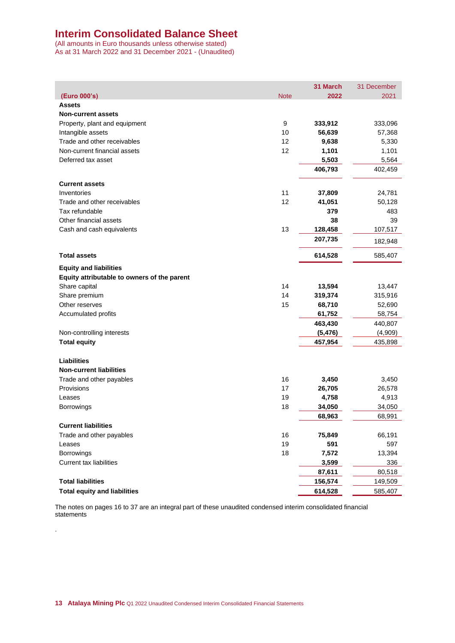# **Interim Consolidated Balance Sheet**

(All amounts in Euro thousands unless otherwise stated) As at 31 March 2022 and 31 December 2021 - (Unaudited)

|                                             |             | 31 March | 31 December |
|---------------------------------------------|-------------|----------|-------------|
| (Euro 000's)                                | <b>Note</b> | 2022     | 2021        |
| <b>Assets</b>                               |             |          |             |
| <b>Non-current assets</b>                   |             |          |             |
| Property, plant and equipment               | 9           | 333,912  | 333,096     |
| Intangible assets                           | 10          | 56,639   | 57,368      |
| Trade and other receivables                 | 12          | 9,638    | 5,330       |
| Non-current financial assets                | 12          | 1,101    | 1,101       |
| Deferred tax asset                          |             | 5,503    | 5,564       |
|                                             |             | 406,793  | 402,459     |
| <b>Current assets</b>                       |             |          |             |
| Inventories                                 | 11          | 37,809   | 24,781      |
| Trade and other receivables                 | 12          | 41,051   | 50,128      |
| Tax refundable                              |             | 379      | 483         |
| Other financial assets                      |             | 38       | 39          |
| Cash and cash equivalents                   | 13          | 128,458  | 107,517     |
|                                             |             | 207,735  | 182,948     |
| <b>Total assets</b>                         |             | 614,528  | 585,407     |
| <b>Equity and liabilities</b>               |             |          |             |
| Equity attributable to owners of the parent |             |          |             |
| Share capital                               | 14          | 13,594   | 13,447      |
| Share premium                               | 14          | 319,374  | 315,916     |
| Other reserves                              | 15          | 68,710   | 52,690      |
| Accumulated profits                         |             | 61,752   | 58,754      |
|                                             |             | 463,430  | 440,807     |
| Non-controlling interests                   |             | (5, 476) | (4,909)     |
| <b>Total equity</b>                         |             | 457,954  | 435,898     |
|                                             |             |          |             |
| <b>Liabilities</b>                          |             |          |             |
| <b>Non-current liabilities</b>              |             |          |             |
| Trade and other payables                    | 16          | 3,450    | 3,450       |
| Provisions                                  | 17          | 26,705   | 26,578      |
| Leases                                      | 19          | 4,758    | 4,913       |
| Borrowings                                  | 18          | 34,050   | 34,050      |
| <b>Current liabilities</b>                  |             | 68,963   | 68,991      |
| Trade and other payables                    | 16          | 75,849   | 66,191      |
| Leases                                      | 19          | 591      | 597         |
| <b>Borrowings</b>                           | 18          | 7,572    | 13,394      |
| <b>Current tax liabilities</b>              |             | 3,599    | 336         |
|                                             |             | 87,611   | 80,518      |
| <b>Total liabilities</b>                    |             | 156,574  | 149,509     |
| <b>Total equity and liabilities</b>         |             | 614,528  | 585,407     |

The notes on pages 16 to 37 are an integral part of these unaudited condensed interim consolidated financial statements

.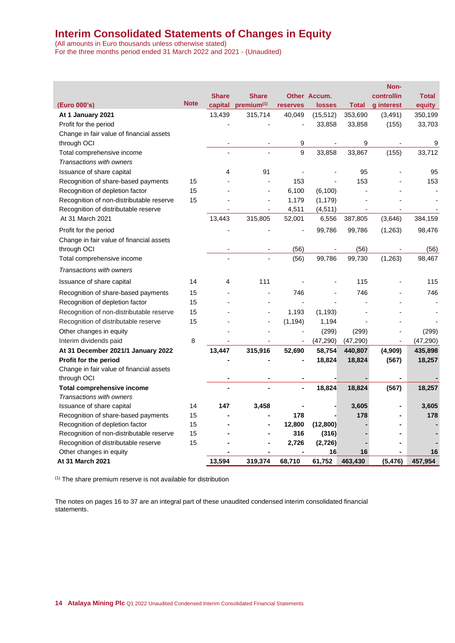# **Interim Consolidated Statements of Changes in Equity**

(All amounts in Euro thousands unless otherwise stated) For the three months period ended 31 March 2022 and 2021 - (Unaudited)

|                                          |             |              |                        |                |               |              | Non-                     |              |
|------------------------------------------|-------------|--------------|------------------------|----------------|---------------|--------------|--------------------------|--------------|
|                                          |             | <b>Share</b> | <b>Share</b>           |                | Other Accum.  |              | controllin               | <b>Total</b> |
| (Euro 000's)                             | <b>Note</b> | capital      | premium <sup>(1)</sup> | reserves       | <b>losses</b> | <b>Total</b> | g interest               | equity       |
| At 1 January 2021                        |             | 13,439       | 315,714                | 40,049         | (15, 512)     | 353,690      | (3,491)                  | 350,199      |
| Profit for the period                    |             |              |                        |                | 33,858        | 33,858       | (155)                    | 33,703       |
| Change in fair value of financial assets |             |              |                        |                |               |              |                          |              |
| through OCI                              |             |              |                        | 9              |               | 9            |                          | 9            |
| Total comprehensive income               |             |              |                        | 9              | 33,858        | 33,867       | (155)                    | 33,712       |
| Transactions with owners                 |             |              |                        |                |               |              |                          |              |
| Issuance of share capital                |             | 4            | 91                     |                |               | 95           |                          | 95           |
| Recognition of share-based payments      | 15          |              |                        | 153            |               | 153          |                          | 153          |
| Recognition of depletion factor          | 15          |              |                        | 6,100          | (6, 100)      |              |                          |              |
| Recognition of non-distributable reserve | 15          |              | $\overline{a}$         | 1,179          | (1, 179)      |              |                          |              |
| Recognition of distributable reserve     |             |              |                        | 4,511          | (4, 511)      |              |                          |              |
| At 31 March 2021                         |             | 13,443       | 315,805                | 52,001         | 6,556         | 387,805      | (3,646)                  | 384,159      |
| Profit for the period                    |             |              |                        |                | 99,786        | 99,786       | (1,263)                  | 98,476       |
| Change in fair value of financial assets |             |              |                        |                |               |              |                          |              |
| through OCI                              |             |              |                        | (56)           |               | (56)         |                          | (56)         |
| Total comprehensive income               |             |              |                        | (56)           | 99,786        | 99,730       | (1,263)                  | 98,467       |
| Transactions with owners                 |             |              |                        |                |               |              |                          |              |
| Issuance of share capital                | 14          | 4            | 111                    |                |               | 115          |                          | 115          |
| Recognition of share-based payments      | 15          |              |                        | 746            |               | 746          |                          | 746          |
| Recognition of depletion factor          | 15          |              |                        |                |               |              |                          |              |
| Recognition of non-distributable reserve | 15          |              |                        | 1,193          | (1, 193)      |              |                          |              |
| Recognition of distributable reserve     | 15          |              | L,                     | (1, 194)       | 1,194         |              |                          |              |
| Other changes in equity                  |             |              |                        | $\blacksquare$ | (299)         | (299)        |                          | (299)        |
| Interim dividends paid                   | 8           |              | L,                     | $\overline{a}$ | (47, 290)     | (47, 290)    | $\overline{\phantom{a}}$ | (47, 290)    |
| At 31 December 2021/1 January 2022       |             | 13,447       | 315,916                | 52,690         | 58,754        | 440,807      | (4,909)                  | 435,898      |
| Profit for the period                    |             |              |                        |                | 18,824        | 18,824       | (567)                    | 18,257       |
| Change in fair value of financial assets |             |              |                        |                |               |              |                          |              |
| through OCI                              |             |              |                        |                |               |              |                          |              |
| <b>Total comprehensive income</b>        |             |              |                        | ä,             | 18,824        | 18,824       | (567)                    | 18,257       |
| Transactions with owners                 |             |              |                        |                |               |              |                          |              |
| Issuance of share capital                | 14          | 147          | 3,458                  |                |               | 3,605        |                          | 3,605        |
| Recognition of share-based payments      | 15          |              |                        | 178            |               | 178          |                          | 178          |
| Recognition of depletion factor          | 15          |              |                        | 12,800         | (12, 800)     |              |                          |              |
| Recognition of non-distributable reserve | 15          |              |                        | 316            | (316)         |              |                          |              |
| Recognition of distributable reserve     | 15          |              |                        | 2,726          | (2,726)       |              |                          |              |
| Other changes in equity                  |             |              |                        |                | 16            | 16           |                          | 16           |
| At 31 March 2021                         |             | 13,594       | 319,374                | 68,710         | 61,752        | 463,430      | (5, 476)                 | 457,954      |

(1) The share premium reserve is not available for distribution

The notes on pages 16 to 37 are an integral part of these unaudited condensed interim consolidated financial statements.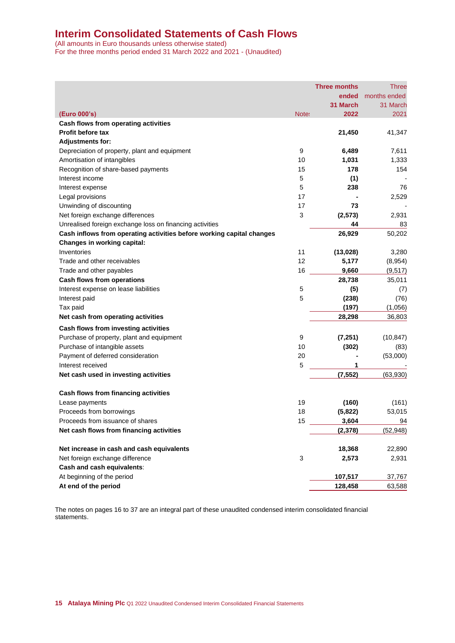# **Interim Consolidated Statements of Cash Flows**

(All amounts in Euro thousands unless otherwise stated) For the three months period ended 31 March 2022 and 2021 - (Unaudited)

|                                                                       |       | <b>Three months</b> | <b>Three</b> |
|-----------------------------------------------------------------------|-------|---------------------|--------------|
|                                                                       |       | ended               | months ended |
|                                                                       |       | 31 March            | 31 March     |
| (Euro 000's)                                                          | Note: | 2022                | 2021         |
| Cash flows from operating activities                                  |       |                     |              |
| <b>Profit before tax</b>                                              |       | 21,450              | 41,347       |
| <b>Adjustments for:</b>                                               |       |                     |              |
| Depreciation of property, plant and equipment                         | 9     | 6,489               | 7,611        |
| Amortisation of intangibles                                           | 10    | 1,031               | 1,333        |
| Recognition of share-based payments                                   | 15    | 178                 | 154          |
| Interest income                                                       | 5     | (1)                 |              |
| Interest expense                                                      | 5     | 238                 | 76           |
| Legal provisions                                                      | 17    |                     | 2,529        |
| Unwinding of discounting                                              | 17    | 73                  |              |
| Net foreign exchange differences                                      | 3     | (2, 573)            | 2,931        |
| Unrealised foreign exchange loss on financing activities              |       | 44                  | 83           |
| Cash inflows from operating activities before working capital changes |       | 26,929              | 50,202       |
| Changes in working capital:                                           |       |                     |              |
| Inventories                                                           | 11    | (13,028)            | 3,280        |
| Trade and other receivables                                           | 12    | 5,177               | (8,954)      |
| Trade and other payables                                              | 16    | 9,660               | (9, 517)     |
| Cash flows from operations                                            |       | 28,738              | 35,011       |
| Interest expense on lease liabilities                                 | 5     | (5)                 | (7)          |
| Interest paid                                                         | 5     | (238)               | (76)         |
| Tax paid                                                              |       | (197)               | (1,056)      |
| Net cash from operating activities                                    |       | 28,298              | 36,803       |
| Cash flows from investing activities                                  |       |                     |              |
| Purchase of property, plant and equipment                             | 9     | (7, 251)            | (10, 847)    |
| Purchase of intangible assets                                         | 10    | (302)               | (83)         |
| Payment of deferred consideration                                     | 20    |                     | (53,000)     |
| Interest received                                                     | 5     | 1                   |              |
| Net cash used in investing activities                                 |       | (7, 552)            | (63,930)     |
|                                                                       |       |                     |              |
| Cash flows from financing activities                                  |       |                     |              |
| Lease payments                                                        | 19    | (160)               | (161)        |
| Proceeds from borrowings                                              | 18    | (5,822)             | 53,015       |
| Proceeds from issuance of shares                                      | 15    | 3,604               | 94           |
| Net cash flows from financing activities                              |       | (2, 378)            | (52, 948)    |
|                                                                       |       |                     |              |
| Net increase in cash and cash equivalents                             |       | 18,368              | 22,890       |
| Net foreign exchange difference                                       | 3     | 2,573               | 2,931        |
| Cash and cash equivalents:                                            |       |                     |              |
| At beginning of the period                                            |       | 107,517             | 37,767       |
| At end of the period                                                  |       | 128,458             | 63,588       |

The notes on pages 16 to 37 are an integral part of these unaudited condensed interim consolidated financial statements.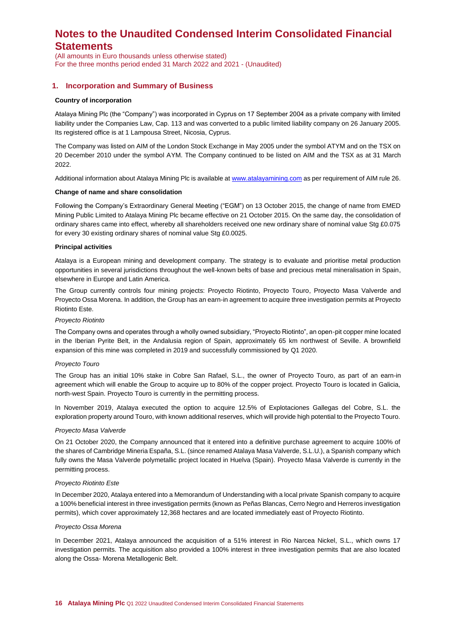(All amounts in Euro thousands unless otherwise stated) For the three months period ended 31 March 2022 and 2021 - (Unaudited)

### **1. Incorporation and Summary of Business**

#### **Country of incorporation**

Atalaya Mining Plc (the "Company") was incorporated in Cyprus on 17 September 2004 as a private company with limited liability under the Companies Law, Cap. 113 and was converted to a public limited liability company on 26 January 2005. Its registered office is at 1 Lampousa Street, Nicosia, Cyprus.

The Company was listed on AIM of the London Stock Exchange in May 2005 under the symbol ATYM and on the TSX on 20 December 2010 under the symbol AYM. The Company continued to be listed on AIM and the TSX as at 31 March 2022.

Additional information about Atalaya Mining Plc is available a[t www.atalayamining.com](http://www.atalayamining.com/) as per requirement of AIM rule 26.

#### **Change of name and share consolidation**

Following the Company's Extraordinary General Meeting ("EGM") on 13 October 2015, the change of name from EMED Mining Public Limited to Atalaya Mining Plc became effective on 21 October 2015. On the same day, the consolidation of ordinary shares came into effect, whereby all shareholders received one new ordinary share of nominal value Stg £0.075 for every 30 existing ordinary shares of nominal value Stg £0.0025.

#### **Principal activities**

Atalaya is a European mining and development company. The strategy is to evaluate and prioritise metal production opportunities in several jurisdictions throughout the well-known belts of base and precious metal mineralisation in Spain, elsewhere in Europe and Latin America.

The Group currently controls four mining projects: Proyecto Riotinto, Proyecto Touro, Proyecto Masa Valverde and Proyecto Ossa Morena. In addition, the Group has an earn-in agreement to acquire three investigation permits at Proyecto Riotinto Este.

#### *Proyecto Riotinto*

The Company owns and operates through a wholly owned subsidiary, "Proyecto Riotinto", an open-pit copper mine located in the Iberian Pyrite Belt, in the Andalusia region of Spain, approximately 65 km northwest of Seville. A brownfield expansion of this mine was completed in 2019 and successfully commissioned by Q1 2020.

#### *Proyecto Touro*

The Group has an initial 10% stake in Cobre San Rafael, S.L., the owner of Proyecto Touro, as part of an earn-in agreement which will enable the Group to acquire up to 80% of the copper project. Proyecto Touro is located in Galicia, north-west Spain. Proyecto Touro is currently in the permitting process.

In November 2019, Atalaya executed the option to acquire 12.5% of Explotaciones Gallegas del Cobre, S.L. the exploration property around Touro, with known additional reserves, which will provide high potential to the Proyecto Touro.

#### *Proyecto Masa Valverde*

On 21 October 2020, the Company announced that it entered into a definitive purchase agreement to acquire 100% of the shares of Cambridge Mineria España, S.L. (since renamed Atalaya Masa Valverde, S.L.U.), a Spanish company which fully owns the Masa Valverde polymetallic project located in Huelva (Spain). Proyecto Masa Valverde is currently in the permitting process.

#### *Proyecto Riotinto Este*

In December 2020, Atalaya entered into a Memorandum of Understanding with a local private Spanish company to acquire a 100% beneficial interest in three investigation permits (known as Peñas Blancas, Cerro Negro and Herreros investigation permits), which cover approximately 12,368 hectares and are located immediately east of Proyecto Riotinto.

#### *Proyecto Ossa Morena*

In December 2021, Atalaya announced the acquisition of a 51% interest in Rio Narcea Nickel, S.L., which owns 17 investigation permits. The acquisition also provided a 100% interest in three investigation permits that are also located along the Ossa- Morena Metallogenic Belt.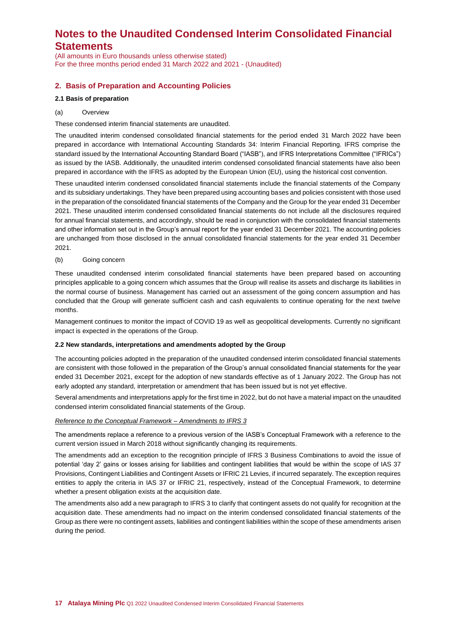(All amounts in Euro thousands unless otherwise stated) For the three months period ended 31 March 2022 and 2021 - (Unaudited)

## **2. Basis of Preparation and Accounting Policies**

#### **2.1 Basis of preparation**

#### (a) Overview

These condensed interim financial statements are unaudited.

The unaudited interim condensed consolidated financial statements for the period ended 31 March 2022 have been prepared in accordance with International Accounting Standards 34: Interim Financial Reporting. IFRS comprise the standard issued by the International Accounting Standard Board ("IASB"), and IFRS Interpretations Committee ("IFRICs") as issued by the IASB. Additionally, the unaudited interim condensed consolidated financial statements have also been prepared in accordance with the IFRS as adopted by the European Union (EU), using the historical cost convention.

These unaudited interim condensed consolidated financial statements include the financial statements of the Company and its subsidiary undertakings. They have been prepared using accounting bases and policies consistent with those used in the preparation of the consolidated financial statements of the Company and the Group for the year ended 31 December 2021. These unaudited interim condensed consolidated financial statements do not include all the disclosures required for annual financial statements, and accordingly, should be read in conjunction with the consolidated financial statements and other information set out in the Group's annual report for the year ended 31 December 2021. The accounting policies are unchanged from those disclosed in the annual consolidated financial statements for the year ended 31 December 2021.

#### (b) Going concern

These unaudited condensed interim consolidated financial statements have been prepared based on accounting principles applicable to a going concern which assumes that the Group will realise its assets and discharge its liabilities in the normal course of business. Management has carried out an assessment of the going concern assumption and has concluded that the Group will generate sufficient cash and cash equivalents to continue operating for the next twelve months.

Management continues to monitor the impact of COVID 19 as well as geopolitical developments. Currently no significant impact is expected in the operations of the Group.

#### **2.2 New standards, interpretations and amendments adopted by the Group**

The accounting policies adopted in the preparation of the unaudited condensed interim consolidated financial statements are consistent with those followed in the preparation of the Group's annual consolidated financial statements for the year ended 31 December 2021, except for the adoption of new standards effective as of 1 January 2022. The Group has not early adopted any standard, interpretation or amendment that has been issued but is not yet effective.

Several amendments and interpretations apply for the first time in 2022, but do not have a material impact on the unaudited condensed interim consolidated financial statements of the Group.

#### *Reference to the Conceptual Framework – Amendments to IFRS 3*

The amendments replace a reference to a previous version of the IASB's Conceptual Framework with a reference to the current version issued in March 2018 without significantly changing its requirements.

The amendments add an exception to the recognition principle of IFRS 3 Business Combinations to avoid the issue of potential 'day 2' gains or losses arising for liabilities and contingent liabilities that would be within the scope of IAS 37 Provisions, Contingent Liabilities and Contingent Assets or IFRIC 21 Levies, if incurred separately. The exception requires entities to apply the criteria in IAS 37 or IFRIC 21, respectively, instead of the Conceptual Framework, to determine whether a present obligation exists at the acquisition date.

The amendments also add a new paragraph to IFRS 3 to clarify that contingent assets do not qualify for recognition at the acquisition date. These amendments had no impact on the interim condensed consolidated financial statements of the Group as there were no contingent assets, liabilities and contingent liabilities within the scope of these amendments arisen during the period.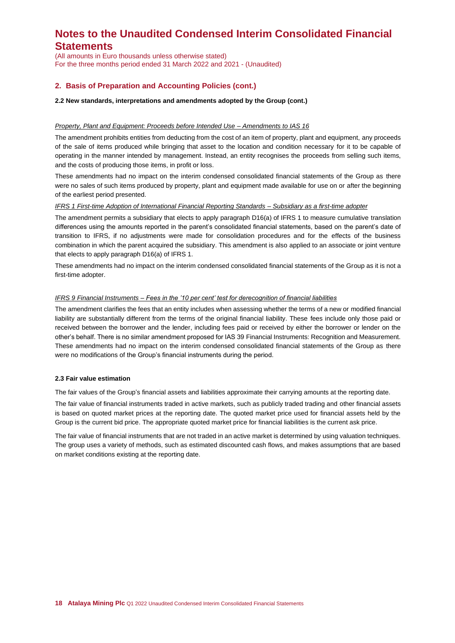(All amounts in Euro thousands unless otherwise stated) For the three months period ended 31 March 2022 and 2021 - (Unaudited)

## **2. Basis of Preparation and Accounting Policies (cont.)**

#### **2.2 New standards, interpretations and amendments adopted by the Group (cont.)**

#### *Property, Plant and Equipment: Proceeds before Intended Use – Amendments to IAS 16*

The amendment prohibits entities from deducting from the cost of an item of property, plant and equipment, any proceeds of the sale of items produced while bringing that asset to the location and condition necessary for it to be capable of operating in the manner intended by management. Instead, an entity recognises the proceeds from selling such items, and the costs of producing those items, in profit or loss.

These amendments had no impact on the interim condensed consolidated financial statements of the Group as there were no sales of such items produced by property, plant and equipment made available for use on or after the beginning of the earliest period presented.

#### *IFRS 1 First-time Adoption of International Financial Reporting Standards – Subsidiary as a first-time adopter*

The amendment permits a subsidiary that elects to apply paragraph D16(a) of IFRS 1 to measure cumulative translation differences using the amounts reported in the parent's consolidated financial statements, based on the parent's date of transition to IFRS, if no adjustments were made for consolidation procedures and for the effects of the business combination in which the parent acquired the subsidiary. This amendment is also applied to an associate or joint venture that elects to apply paragraph D16(a) of IFRS 1.

These amendments had no impact on the interim condensed consolidated financial statements of the Group as it is not a first-time adopter.

#### *IFRS 9 Financial Instruments – Fees in the '10 per cent' test for derecognition of financial liabilities*

The amendment clarifies the fees that an entity includes when assessing whether the terms of a new or modified financial liability are substantially different from the terms of the original financial liability. These fees include only those paid or received between the borrower and the lender, including fees paid or received by either the borrower or lender on the other's behalf. There is no similar amendment proposed for IAS 39 Financial Instruments: Recognition and Measurement. These amendments had no impact on the interim condensed consolidated financial statements of the Group as there were no modifications of the Group's financial instruments during the period.

#### **2.3 Fair value estimation**

The fair values of the Group's financial assets and liabilities approximate their carrying amounts at the reporting date.

The fair value of financial instruments traded in active markets, such as publicly traded trading and other financial assets is based on quoted market prices at the reporting date. The quoted market price used for financial assets held by the Group is the current bid price. The appropriate quoted market price for financial liabilities is the current ask price.

The fair value of financial instruments that are not traded in an active market is determined by using valuation techniques. The group uses a variety of methods, such as estimated discounted cash flows, and makes assumptions that are based on market conditions existing at the reporting date.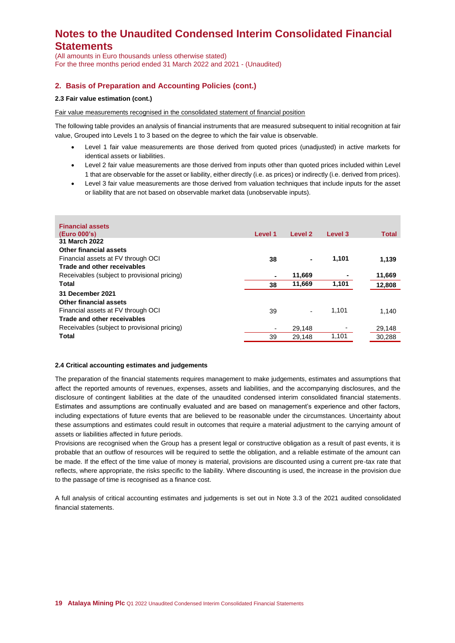(All amounts in Euro thousands unless otherwise stated) For the three months period ended 31 March 2022 and 2021 - (Unaudited)

## **2. Basis of Preparation and Accounting Policies (cont.)**

### **2.3 Fair value estimation (cont.)**

Fair value measurements recognised in the consolidated statement of financial position

The following table provides an analysis of financial instruments that are measured subsequent to initial recognition at fair value, Grouped into Levels 1 to 3 based on the degree to which the fair value is observable.

- Level 1 fair value measurements are those derived from quoted prices (unadjusted) in active markets for identical assets or liabilities.
- Level 2 fair value measurements are those derived from inputs other than quoted prices included within Level 1 that are observable for the asset or liability, either directly (i.e. as prices) or indirectly (i.e. derived from prices).
- Level 3 fair value measurements are those derived from valuation techniques that include inputs for the asset or liability that are not based on observable market data (unobservable inputs).

| <b>Financial assets</b><br>(Euro 000's)      | Level 1        | Level 2 | Level 3 | <b>Total</b> |
|----------------------------------------------|----------------|---------|---------|--------------|
| 31 March 2022                                |                |         |         |              |
| Other financial assets                       |                |         |         |              |
| Financial assets at FV through OCI           | 38             |         | 1,101   | 1,139        |
| Trade and other receivables                  |                |         |         |              |
| Receivables (subject to provisional pricing) |                | 11,669  |         | 11,669       |
| Total                                        | 38             | 11,669  | 1,101   | 12,808       |
| 31 December 2021                             |                |         |         |              |
| Other financial assets                       |                |         |         |              |
| Financial assets at FV through OCI           | 39             |         | 1.101   | 1,140        |
| Trade and other receivables                  |                |         |         |              |
| Receivables (subject to provisional pricing) | $\blacksquare$ | 29.148  |         | 29,148       |
| Total                                        | 39             | 29,148  | 1,101   | 30,288       |

#### **2.4 Critical accounting estimates and judgements**

The preparation of the financial statements requires management to make judgements, estimates and assumptions that affect the reported amounts of revenues, expenses, assets and liabilities, and the accompanying disclosures, and the disclosure of contingent liabilities at the date of the unaudited condensed interim consolidated financial statements. Estimates and assumptions are continually evaluated and are based on management's experience and other factors, including expectations of future events that are believed to be reasonable under the circumstances. Uncertainty about these assumptions and estimates could result in outcomes that require a material adjustment to the carrying amount of assets or liabilities affected in future periods.

Provisions are recognised when the Group has a present legal or constructive obligation as a result of past events, it is probable that an outflow of resources will be required to settle the obligation, and a reliable estimate of the amount can be made. If the effect of the time value of money is material, provisions are discounted using a current pre-tax rate that reflects, where appropriate, the risks specific to the liability. Where discounting is used, the increase in the provision due to the passage of time is recognised as a finance cost.

A full analysis of critical accounting estimates and judgements is set out in Note 3.3 of the 2021 audited consolidated financial statements.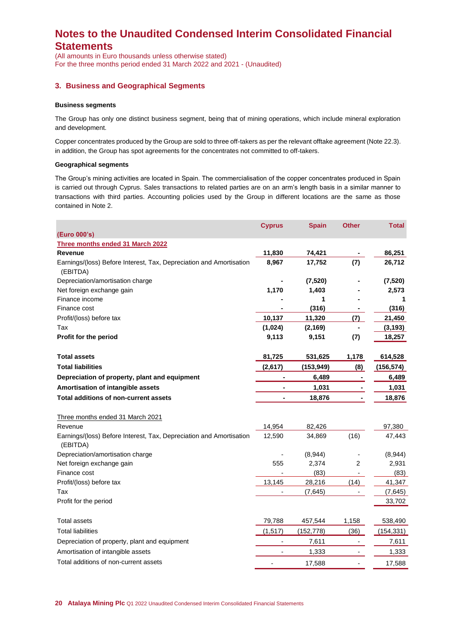(All amounts in Euro thousands unless otherwise stated) For the three months period ended 31 March 2022 and 2021 - (Unaudited)

### **3. Business and Geographical Segments**

#### **Business segments**

The Group has only one distinct business segment, being that of mining operations, which include mineral exploration and development.

Copper concentrates produced by the Group are sold to three off-takers as per the relevant offtake agreement (Note 22.3). in addition, the Group has spot agreements for the concentrates not committed to off-takers.

#### **Geographical segments**

The Group's mining activities are located in Spain. The commercialisation of the copper concentrates produced in Spain is carried out through Cyprus. Sales transactions to related parties are on an arm's length basis in a similar manner to transactions with third parties. Accounting policies used by the Group in different locations are the same as those contained in Note 2.

|                                                                                 | <b>Cyprus</b>                | <b>Spain</b> | <b>Other</b>             | <b>Total</b> |
|---------------------------------------------------------------------------------|------------------------------|--------------|--------------------------|--------------|
| (Euro 000's)                                                                    |                              |              |                          |              |
| Three months ended 31 March 2022                                                |                              |              |                          |              |
| <b>Revenue</b>                                                                  | 11,830                       | 74,421       |                          | 86,251       |
| Earnings/(loss) Before Interest, Tax, Depreciation and Amortisation<br>(EBITDA) | 8,967                        | 17,752       | (7)                      | 26,712       |
| Depreciation/amortisation charge                                                |                              | (7,520)      |                          | (7, 520)     |
| Net foreign exchange gain                                                       | 1,170                        | 1,403        |                          | 2,573        |
| Finance income                                                                  |                              | 1            |                          | 1            |
| Finance cost                                                                    |                              | (316)        |                          | (316)        |
| Profit/(loss) before tax                                                        | 10,137                       | 11,320       | (7)                      | 21,450       |
| Tax                                                                             | (1,024)                      | (2, 169)     |                          | (3, 193)     |
| Profit for the period                                                           | 9,113                        | 9,151        | (7)                      | 18,257       |
| <b>Total assets</b>                                                             | 81,725                       | 531,625      | 1,178                    | 614,528      |
| <b>Total liabilities</b>                                                        | (2,617)                      | (153, 949)   | (8)                      | (156, 574)   |
| Depreciation of property, plant and equipment                                   |                              | 6,489        |                          | 6,489        |
| Amortisation of intangible assets                                               |                              | 1,031        |                          | 1,031        |
| <b>Total additions of non-current assets</b>                                    |                              | 18,876       |                          | 18,876       |
| Three months ended 31 March 2021                                                |                              |              |                          |              |
| Revenue                                                                         | 14,954                       | 82,426       |                          | 97,380       |
| Earnings/(loss) Before Interest, Tax, Depreciation and Amortisation<br>(EBITDA) | 12,590                       | 34,869       | (16)                     | 47,443       |
| Depreciation/amortisation charge                                                |                              | (8,944)      |                          | (8,944)      |
| Net foreign exchange gain                                                       | 555                          | 2,374        | 2                        | 2,931        |
| Finance cost                                                                    |                              | (83)         |                          | (83)         |
| Profit/(loss) before tax                                                        | 13,145                       | 28,216       | (14)                     | 41,347       |
| Tax                                                                             | $\qquad \qquad \blacksquare$ | (7,645)      | $\overline{\phantom{a}}$ | (7,645)      |
| Profit for the period                                                           |                              |              |                          | 33,702       |
| <b>Total assets</b>                                                             | 79,788                       | 457,544      | 1,158                    | 538,490      |
| <b>Total liabilities</b>                                                        | (1, 517)                     | (152, 778)   | (36)                     | (154, 331)   |
| Depreciation of property, plant and equipment                                   |                              | 7,611        | $\overline{\phantom{a}}$ | 7,611        |
| Amortisation of intangible assets                                               |                              | 1,333        |                          | 1,333        |
| Total additions of non-current assets                                           |                              | 17,588       |                          | 17,588       |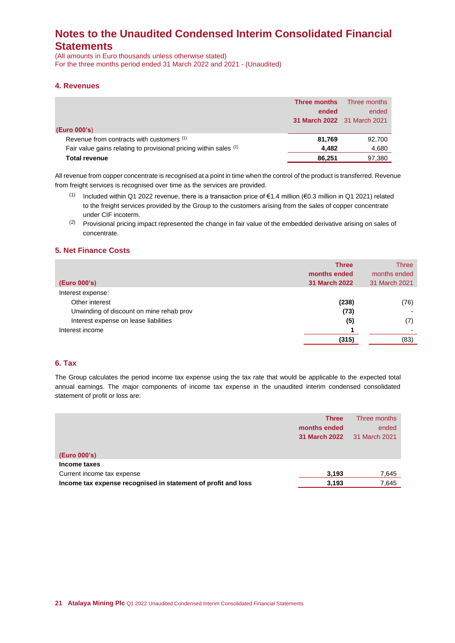(All amounts in Euro thousands unless otherwise stated) For the three months period ended 31 March 2022 and 2021 - (Unaudited)

### **4. Revenues**

|                                                                   | Three months                | Three months |
|-------------------------------------------------------------------|-----------------------------|--------------|
|                                                                   | ended                       | ended        |
|                                                                   | 31 March 2022 31 March 2021 |              |
| (Euro 000's)                                                      |                             |              |
| Revenue from contracts with customers (1)                         | 81.769                      | 92,700       |
| Fair value gains relating to provisional pricing within sales (2) | 4.482                       | 4,680        |
| <b>Total revenue</b>                                              | 86.251                      | 97,380       |

All revenue from copper concentrate is recognised at a point in time when the control of the product is transferred. Revenue from freight services is recognised over time as the services are provided.

- (1) Included within Q1 2022 revenue, there is a transaction price of €1.4 million (€0.3 million in Q1 2021) related to the freight services provided by the Group to the customers arising from the sales of copper concentrate under CIF incoterm.
- $(2)$  Provisional pricing impact represented the change in fair value of the embedded derivative arising on sales of concentrate.

### **5. Net Finance Costs**

| (Euro 000's)                             | <b>Three</b><br>months ended<br><b>31 March 2022</b> | Three<br>months ended<br>31 March 2021 |
|------------------------------------------|------------------------------------------------------|----------------------------------------|
| Interest expense:                        |                                                      |                                        |
| Other interest                           | (238)                                                | (76)                                   |
| Unwinding of discount on mine rehab prov | (73)                                                 |                                        |
| Interest expense on lease liabilities    | (5)                                                  | (7)                                    |
| Interest income                          |                                                      |                                        |
|                                          | (315)                                                | (83)                                   |

# **6. Tax**

The Group calculates the period income tax expense using the tax rate that would be applicable to the expected total annual earnings. The major components of income tax expense in the unaudited interim condensed consolidated statement of profit or loss are:

| (Euro 000's)                                                  | <b>Three</b><br>months ended<br><b>31 March 2022</b> | Three months<br>ended<br>31 March 2021 |
|---------------------------------------------------------------|------------------------------------------------------|----------------------------------------|
| Income taxes                                                  |                                                      |                                        |
| Current income tax expense                                    | 3,193                                                | 7,645                                  |
| Income tax expense recognised in statement of profit and loss | 3,193                                                | 7,645                                  |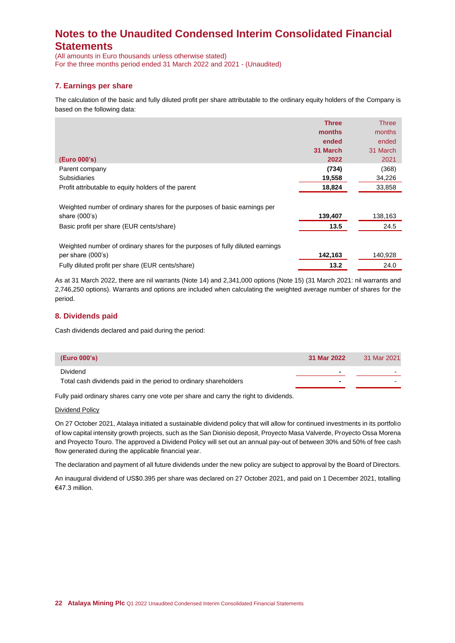(All amounts in Euro thousands unless otherwise stated) For the three months period ended 31 March 2022 and 2021 - (Unaudited)

# **7. Earnings per share**

The calculation of the basic and fully diluted profit per share attributable to the ordinary equity holders of the Company is based on the following data:

|                                                                               | <b>Three</b> | <b>Three</b> |
|-------------------------------------------------------------------------------|--------------|--------------|
|                                                                               | months       | months       |
|                                                                               | ended        | ended        |
|                                                                               | 31 March     | 31 March     |
| (Euro 000's)                                                                  | 2022         | 2021         |
| Parent company                                                                | (734)        | (368)        |
| <b>Subsidiaries</b>                                                           | 19,558       | 34,226       |
| Profit attributable to equity holders of the parent                           | 18,824       | 33,858       |
| Weighted number of ordinary shares for the purposes of basic earnings per     |              |              |
| share $(000's)$                                                               | 139,407      | 138,163      |
| Basic profit per share (EUR cents/share)                                      | 13.5         | 24.5         |
| Weighted number of ordinary shares for the purposes of fully diluted earnings |              |              |
| per share (000's)                                                             | 142,163      | 140,928      |
| Fully diluted profit per share (EUR cents/share)                              | 13.2         | 24.0         |

As at 31 March 2022, there are nil warrants (Note 14) and 2,341,000 options (Note 15) (31 March 2021: nil warrants and 2,746,250 options). Warrants and options are included when calculating the weighted average number of shares for the period.

## **8. Dividends paid**

Cash dividends declared and paid during the period:

| (Euro 000's)                                                     | 31 Mar 2022              | 31 Mar 2021              |
|------------------------------------------------------------------|--------------------------|--------------------------|
| Dividend                                                         |                          | $\overline{\phantom{0}}$ |
| Total cash dividends paid in the period to ordinary shareholders | $\overline{\phantom{0}}$ |                          |

Fully paid ordinary shares carry one vote per share and carry the right to dividends.

#### Dividend Policy

On 27 October 2021, Atalaya initiated a sustainable dividend policy that will allow for continued investments in its portfolio of low capital intensity growth projects, such as the San Dionisio deposit, Proyecto Masa Valverde, Proyecto Ossa Morena and Proyecto Touro. The approved a Dividend Policy will set out an annual pay-out of between 30% and 50% of free cash flow generated during the applicable financial year.

The declaration and payment of all future dividends under the new policy are subject to approval by the Board of Directors.

An inaugural dividend of US\$0.395 per share was declared on 27 October 2021, and paid on 1 December 2021, totalling €47.3 million.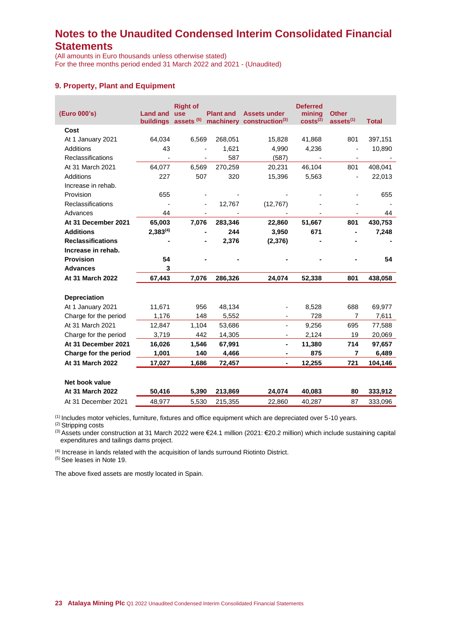(All amounts in Euro thousands unless otherwise stated) For the three months period ended 31 March 2022 and 2021 - (Unaudited)

## **9. Property, Plant and Equipment**

| (Euro 000's)             | <b>Land and</b> | <b>Right of</b><br><b>use</b><br>buildings assets (5) | <b>Plant and</b> | <b>Assets under</b><br>machinery construction <sup>(3)</sup> | <b>Deferred</b><br>mining<br>costs <sup>(2)</sup> | <b>Other</b><br>assets <sup>(1)</sup> | <b>Total</b> |
|--------------------------|-----------------|-------------------------------------------------------|------------------|--------------------------------------------------------------|---------------------------------------------------|---------------------------------------|--------------|
| Cost                     |                 |                                                       |                  |                                                              |                                                   |                                       |              |
| At 1 January 2021        | 64,034          | 6,569                                                 | 268,051          | 15,828                                                       | 41,868                                            | 801                                   | 397,151      |
| <b>Additions</b>         | 43              |                                                       | 1,621            | 4,990                                                        | 4,236                                             |                                       | 10,890       |
| Reclassifications        |                 |                                                       | 587              | (587)                                                        |                                                   |                                       |              |
| At 31 March 2021         | 64,077          | 6,569                                                 | 270,259          | 20,231                                                       | 46,104                                            | 801                                   | 408,041      |
| Additions                | 227             | 507                                                   | 320              | 15,396                                                       | 5,563                                             |                                       | 22,013       |
| Increase in rehab.       |                 |                                                       |                  |                                                              |                                                   |                                       |              |
| Provision                | 655             |                                                       |                  |                                                              |                                                   |                                       | 655          |
| Reclassifications        |                 |                                                       | 12,767           | (12, 767)                                                    |                                                   |                                       |              |
| Advances                 | 44              |                                                       |                  |                                                              |                                                   |                                       | 44           |
| At 31 December 2021      | 65,003          | 7,076                                                 | 283,346          | 22,860                                                       | 51,667                                            | 801                                   | 430,753      |
| <b>Additions</b>         | $2,383^{(4)}$   |                                                       | 244              | 3,950                                                        | 671                                               |                                       | 7,248        |
| <b>Reclassifications</b> |                 |                                                       | 2,376            | (2,376)                                                      |                                                   |                                       |              |
| Increase in rehab.       |                 |                                                       |                  |                                                              |                                                   |                                       |              |
| <b>Provision</b>         | 54              |                                                       |                  |                                                              |                                                   |                                       | 54           |
| <b>Advances</b>          | 3               |                                                       |                  |                                                              |                                                   |                                       |              |
| At 31 March 2022         | 67,443          | 7,076                                                 | 286,326          | 24,074                                                       | 52,338                                            | 801                                   | 438,058      |
|                          |                 |                                                       |                  |                                                              |                                                   |                                       |              |
| <b>Depreciation</b>      |                 |                                                       |                  |                                                              |                                                   |                                       |              |
| At 1 January 2021        | 11,671          | 956                                                   | 48,134           |                                                              | 8,528                                             | 688                                   | 69,977       |
| Charge for the period    | 1,176           | 148                                                   | 5,552            |                                                              | 728                                               | 7                                     | 7,611        |
| At 31 March 2021         | 12,847          | 1,104                                                 | 53,686           |                                                              | 9,256                                             | 695                                   | 77,588       |
| Charge for the period    | 3,719           | 442                                                   | 14,305           | $\overline{\phantom{a}}$                                     | 2,124                                             | 19                                    | 20,069       |
| At 31 December 2021      | 16,026          | 1,546                                                 | 67,991           | $\blacksquare$                                               | 11,380                                            | 714                                   | 97,657       |
| Charge for the period    | 1,001           | 140                                                   | 4,466            | $\blacksquare$                                               | 875                                               | 7                                     | 6,489        |
| At 31 March 2022         | 17,027          | 1,686                                                 | 72,457           | $\blacksquare$                                               | 12,255                                            | 721                                   | 104,146      |
| Net book value           |                 |                                                       |                  |                                                              |                                                   |                                       |              |
| At 31 March 2022         | 50,416          | 5,390                                                 | 213,869          | 24,074                                                       | 40,083                                            | 80                                    | 333,912      |
| At 31 December 2021      | 48,977          | 5,530                                                 | 215,355          | 22,860                                                       | 40,287                                            | 87                                    | 333,096      |
|                          |                 |                                                       |                  |                                                              |                                                   |                                       |              |

(1) Includes motor vehicles, furniture, fixtures and office equipment which are depreciated over 5-10 years.

(2) Stripping costs

(3) Assets under construction at 31 March 2022 were €24.1 million (2021: €20.2 million) which include sustaining capital expenditures and tailings dams project.

(4) Increase in lands related with the acquisition of lands surround Riotinto District.

(5) See leases in Note 19.

The above fixed assets are mostly located in Spain.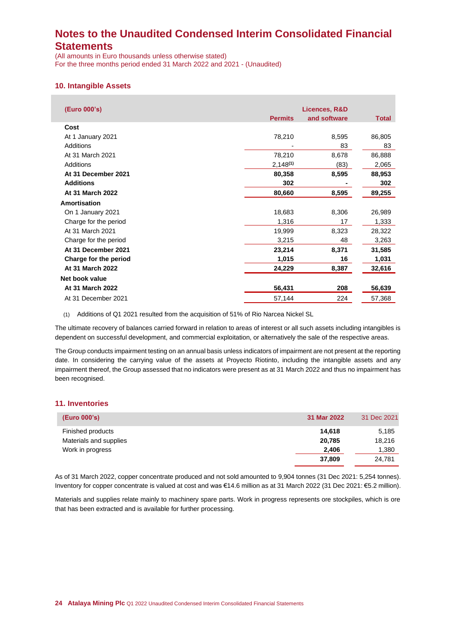(All amounts in Euro thousands unless otherwise stated) For the three months period ended 31 March 2022 and 2021 - (Unaudited)

### **10. Intangible Assets**

| (Euro 000's)          | Licences, R&D  |              |              |  |
|-----------------------|----------------|--------------|--------------|--|
|                       | <b>Permits</b> | and software | <b>Total</b> |  |
| Cost                  |                |              |              |  |
| At 1 January 2021     | 78,210         | 8,595        | 86,805       |  |
| Additions             |                | 83           | 83           |  |
| At 31 March 2021      | 78,210         | 8,678        | 86,888       |  |
| Additions             | $2,148^{(1)}$  | (83)         | 2,065        |  |
| At 31 December 2021   | 80,358         | 8,595        | 88,953       |  |
| <b>Additions</b>      | 302            |              | 302          |  |
| At 31 March 2022      | 80,660         | 8,595        | 89,255       |  |
| Amortisation          |                |              |              |  |
| On 1 January 2021     | 18,683         | 8,306        | 26,989       |  |
| Charge for the period | 1,316          | 17           | 1,333        |  |
| At 31 March 2021      | 19,999         | 8,323        | 28,322       |  |
| Charge for the period | 3,215          | 48           | 3,263        |  |
| At 31 December 2021   | 23,214         | 8,371        | 31,585       |  |
| Charge for the period | 1,015          | 16           | 1,031        |  |
| At 31 March 2022      | 24,229         | 8,387        | 32,616       |  |
| Net book value        |                |              |              |  |
| At 31 March 2022      | 56,431         | 208          | 56,639       |  |
| At 31 December 2021   | 57,144         | 224          | 57,368       |  |
|                       |                |              |              |  |

(1) Additions of Q1 2021 resulted from the acquisition of 51% of Rio Narcea Nickel SL

The ultimate recovery of balances carried forward in relation to areas of interest or all such assets including intangibles is dependent on successful development, and commercial exploitation, or alternatively the sale of the respective areas.

The Group conducts impairment testing on an annual basis unless indicators of impairment are not present at the reporting date. In considering the carrying value of the assets at Proyecto Riotinto, including the intangible assets and any impairment thereof, the Group assessed that no indicators were present as at 31 March 2022 and thus no impairment has been recognised.

### **11. Inventories**

| (Euro 000's)           | 31 Mar 2022 | 31 Dec 2021 |
|------------------------|-------------|-------------|
| Finished products      | 14.618      | 5,185       |
| Materials and supplies | 20,785      | 18,216      |
| Work in progress       | 2.406       | 1,380       |
|                        | 37,809      | 24.781      |

As of 31 March 2022, copper concentrate produced and not sold amounted to 9,904 tonnes (31 Dec 2021: 5,254 tonnes). Inventory for copper concentrate is valued at cost and was €14.6 million as at 31 March 2022 (31 Dec 2021: €5.2 million).

Materials and supplies relate mainly to machinery spare parts. Work in progress represents ore stockpiles, which is ore that has been extracted and is available for further processing.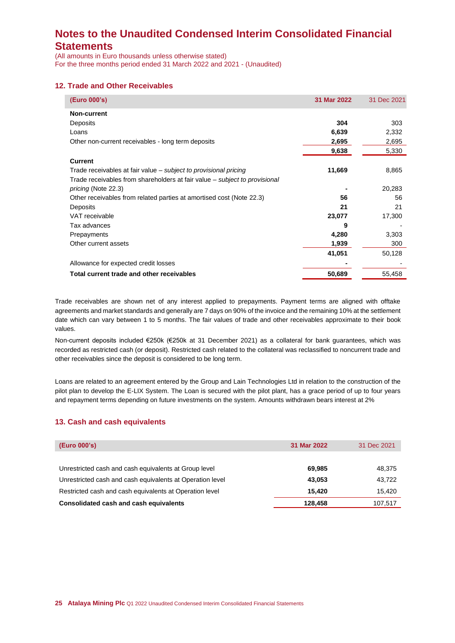(All amounts in Euro thousands unless otherwise stated) For the three months period ended 31 March 2022 and 2021 - (Unaudited)

### **12. Trade and Other Receivables**

| (Euro 000's)                                                               | 31 Mar 2022 | 31 Dec 2021 |
|----------------------------------------------------------------------------|-------------|-------------|
| Non-current                                                                |             |             |
| Deposits                                                                   | 304         | 303         |
| Loans                                                                      | 6,639       | 2,332       |
| Other non-current receivables - long term deposits                         | 2,695       | 2,695       |
|                                                                            | 9,638       | 5,330       |
| <b>Current</b>                                                             |             |             |
| Trade receivables at fair value – subject to provisional pricing           | 11,669      | 8,865       |
| Trade receivables from shareholders at fair value – subject to provisional |             |             |
| <i>pricing</i> (Note 22.3)                                                 |             | 20,283      |
| Other receivables from related parties at amortised cost (Note 22.3)       | 56          | 56          |
| Deposits                                                                   | 21          | 21          |
| VAT receivable                                                             | 23,077      | 17,300      |
| Tax advances                                                               | 9           |             |
| Prepayments                                                                | 4,280       | 3,303       |
| Other current assets                                                       | 1,939       | 300         |
|                                                                            | 41,051      | 50,128      |
| Allowance for expected credit losses                                       |             |             |
| Total current trade and other receivables                                  | 50,689      | 55,458      |

Trade receivables are shown net of any interest applied to prepayments. Payment terms are aligned with offtake agreements and market standards and generally are 7 days on 90% of the invoice and the remaining 10% at the settlement date which can vary between 1 to 5 months. The fair values of trade and other receivables approximate to their book values.

Non-current deposits included €250k (€250k at 31 December 2021) as a collateral for bank guarantees, which was recorded as restricted cash (or deposit). Restricted cash related to the collateral was reclassified to noncurrent trade and other receivables since the deposit is considered to be long term.

Loans are related to an agreement entered by the Group and Lain Technologies Ltd in relation to the construction of the pilot plan to develop the E-LIX System. The Loan is secured with the pilot plant, has a grace period of up to four years and repayment terms depending on future investments on the system. Amounts withdrawn bears interest at 2%

## **13. Cash and cash equivalents**

| (Euro 000's)                                              | 31 Mar 2022 | 31 Dec 2021 |
|-----------------------------------------------------------|-------------|-------------|
|                                                           |             |             |
| Unrestricted cash and cash equivalents at Group level     | 69.985      | 48,375      |
| Unrestricted cash and cash equivalents at Operation level | 43.053      | 43,722      |
| Restricted cash and cash equivalents at Operation level   | 15.420      | 15,420      |
| Consolidated cash and cash equivalents                    | 128,458     | 107,517     |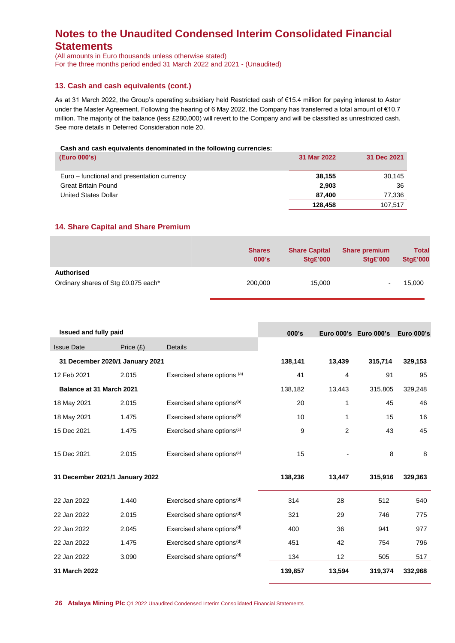(All amounts in Euro thousands unless otherwise stated) For the three months period ended 31 March 2022 and 2021 - (Unaudited)

## **13. Cash and cash equivalents (cont.)**

As at 31 March 2022, the Group's operating subsidiary held Restricted cash of €15.4 million for paying interest to Astor under the Master Agreement. Following the hearing of 6 May 2022, the Company has transferred a total amount of €10.7 million. The majority of the balance (less £280,000) will revert to the Company and will be classified as unrestricted cash. See more details in Deferred Consideration note 20.

### **Cash and cash equivalents denominated in the following currencies:**

| (Euro 000's)                                | 31 Mar 2022 | 31 Dec 2021 |
|---------------------------------------------|-------------|-------------|
| Euro – functional and presentation currency | 38,155      | 30.145      |
| <b>Great Britain Pound</b>                  | 2,903       | 36          |
| United States Dollar                        | 87.400      | 77,336      |
|                                             | 128,458     | 107.517     |

### **14. Share Capital and Share Premium**

|                                                   | <b>Shares</b> | <b>Share Capital</b> | <b>Share premium</b> | <b>Total</b>    |
|---------------------------------------------------|---------------|----------------------|----------------------|-----------------|
|                                                   | 000's         | <b>Stg£'000</b>      | <b>Stg£'000</b>      | <b>Stg£'000</b> |
| Authorised<br>Ordinary shares of Stg £0.075 each* | 200,000       | 15,000               |                      | 15,000          |

| <b>Issued and fully paid</b>    |             |                                        | 000's   |        | Euro 000's Euro 000's | <b>Euro 000's</b> |
|---------------------------------|-------------|----------------------------------------|---------|--------|-----------------------|-------------------|
| <b>Issue Date</b>               | Price $(E)$ | <b>Details</b>                         |         |        |                       |                   |
| 31 December 2020/1 January 2021 |             |                                        | 138,141 | 13,439 | 315,714               | 329,153           |
| 12 Feb 2021                     | 2.015       | Exercised share options (a)            | 41      | 4      | 91                    | 95                |
| Balance at 31 March 2021        |             |                                        | 138,182 | 13,443 | 315,805               | 329,248           |
| 18 May 2021                     | 2.015       | Exercised share options <sup>(b)</sup> | 20      | 1      | 45                    | 46                |
| 18 May 2021                     | 1.475       | Exercised share options <sup>(b)</sup> | 10      | 1      | 15                    | 16                |
| 15 Dec 2021                     | 1.475       | Exercised share options <sup>(c)</sup> | 9       | 2      | 43                    | 45                |
| 15 Dec 2021                     | 2.015       | Exercised share options <sup>(c)</sup> | 15      |        | 8                     | 8                 |
| 31 December 2021/1 January 2022 |             |                                        | 138,236 | 13,447 | 315,916               | 329,363           |
| 22 Jan 2022                     | 1.440       | Exercised share options <sup>(d)</sup> | 314     | 28     | 512                   | 540               |
| 22 Jan 2022                     | 2.015       | Exercised share options <sup>(d)</sup> | 321     | 29     | 746                   | 775               |
| 22 Jan 2022                     | 2.045       | Exercised share options <sup>(d)</sup> | 400     | 36     | 941                   | 977               |
| 22 Jan 2022                     | 1.475       | Exercised share options <sup>(d)</sup> | 451     | 42     | 754                   | 796               |
| 22 Jan 2022                     | 3.090       | Exercised share options <sup>(d)</sup> | 134     | 12     | 505                   | 517               |
| 31 March 2022                   |             |                                        | 139,857 | 13,594 | 319,374               | 332,968           |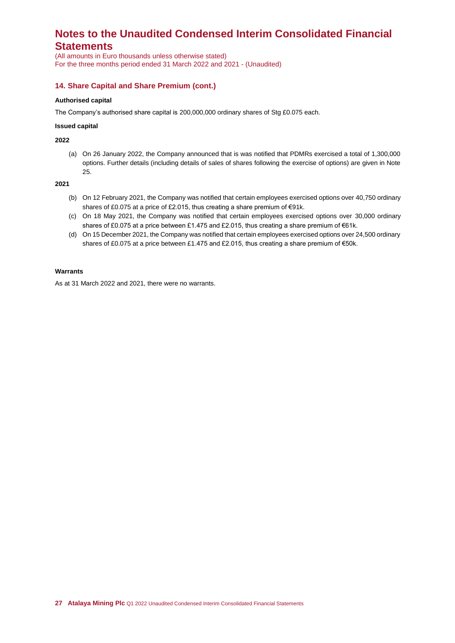(All amounts in Euro thousands unless otherwise stated) For the three months period ended 31 March 2022 and 2021 - (Unaudited)

## **14. Share Capital and Share Premium (cont.)**

#### **Authorised capital**

The Company's authorised share capital is 200,000,000 ordinary shares of Stg £0.075 each.

#### **Issued capital**

**2022**

(a) On 26 January 2022, the Company announced that is was notified that PDMRs exercised a total of 1,300,000 options. Further details (including details of sales of shares following the exercise of options) are given in Note 25.

**2021**

- (b) On 12 February 2021, the Company was notified that certain employees exercised options over 40,750 ordinary shares of £0.075 at a price of £2.015, thus creating a share premium of €91k.
- (c) On 18 May 2021, the Company was notified that certain employees exercised options over 30,000 ordinary shares of £0.075 at a price between £1.475 and £2.015, thus creating a share premium of €61k.
- (d) On 15 December 2021, the Company was notified that certain employees exercised options over 24,500 ordinary shares of £0.075 at a price between £1.475 and £2.015, thus creating a share premium of €50k.

#### **Warrants**

As at 31 March 2022 and 2021, there were no warrants.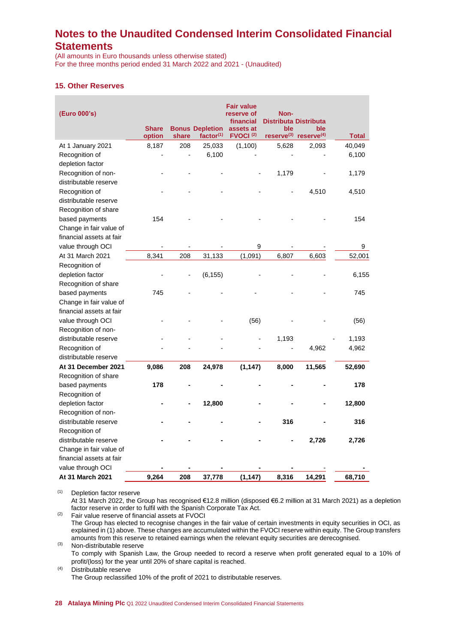(All amounts in Euro thousands unless otherwise stated) For the three months period ended 31 March 2022 and 2021 - (Unaudited)

## **15. Other Reserves**

| (Euro 000's)             |                        |       |                                        | <b>Fair value</b><br>reserve of<br>financial | Non-<br><b>Distributa Distributa</b> |                                                      |              |
|--------------------------|------------------------|-------|----------------------------------------|----------------------------------------------|--------------------------------------|------------------------------------------------------|--------------|
|                          | <b>Share</b><br>option | share | <b>Bonus Depletion</b><br>factor $(1)$ | assets at<br>FVOCI <sup>(2)</sup>            | ble                                  | ble<br>reserve <sup>(3)</sup> reserve <sup>(4)</sup> | <b>Total</b> |
| At 1 January 2021        | 8,187                  | 208   | 25,033                                 | (1, 100)                                     | 5,628                                | 2,093                                                | 40,049       |
| Recognition of           |                        | ÷,    | 6,100                                  |                                              |                                      |                                                      | 6,100        |
| depletion factor         |                        |       |                                        |                                              |                                      |                                                      |              |
| Recognition of non-      |                        |       |                                        |                                              | 1,179                                |                                                      | 1,179        |
| distributable reserve    |                        |       |                                        |                                              |                                      |                                                      |              |
| Recognition of           |                        |       |                                        |                                              |                                      | 4,510                                                | 4,510        |
| distributable reserve    |                        |       |                                        |                                              |                                      |                                                      |              |
| Recognition of share     |                        |       |                                        |                                              |                                      |                                                      |              |
| based payments           | 154                    |       |                                        |                                              |                                      |                                                      | 154          |
| Change in fair value of  |                        |       |                                        |                                              |                                      |                                                      |              |
| financial assets at fair |                        |       |                                        |                                              |                                      |                                                      |              |
| value through OCI        |                        |       |                                        | 9                                            |                                      |                                                      | 9            |
| At 31 March 2021         | 8,341                  | 208   | 31,133                                 | (1,091)                                      | 6,807                                | 6,603                                                | 52,001       |
| Recognition of           |                        |       |                                        |                                              |                                      |                                                      |              |
| depletion factor         |                        |       | (6, 155)                               |                                              |                                      |                                                      | 6,155        |
| Recognition of share     |                        |       |                                        |                                              |                                      |                                                      |              |
| based payments           | 745                    |       |                                        |                                              |                                      |                                                      | 745          |
| Change in fair value of  |                        |       |                                        |                                              |                                      |                                                      |              |
| financial assets at fair |                        |       |                                        |                                              |                                      |                                                      |              |
| value through OCI        |                        |       |                                        | (56)                                         |                                      |                                                      | (56)         |
| Recognition of non-      |                        |       |                                        |                                              |                                      |                                                      |              |
| distributable reserve    |                        |       |                                        |                                              | 1,193                                |                                                      | 1,193        |
| Recognition of           |                        |       |                                        |                                              |                                      | 4,962                                                | 4,962        |
| distributable reserve    |                        |       |                                        |                                              |                                      |                                                      |              |
| At 31 December 2021      | 9,086                  | 208   | 24,978                                 | (1, 147)                                     | 8,000                                | 11,565                                               | 52,690       |
| Recognition of share     |                        |       |                                        |                                              |                                      |                                                      |              |
| based payments           | 178                    |       |                                        |                                              |                                      |                                                      | 178          |
| Recognition of           |                        |       |                                        |                                              |                                      |                                                      |              |
| depletion factor         |                        |       | 12,800                                 |                                              |                                      |                                                      | 12,800       |
| Recognition of non-      |                        |       |                                        |                                              |                                      |                                                      |              |
| distributable reserve    |                        |       |                                        |                                              | 316                                  |                                                      | 316          |
| Recognition of           |                        |       |                                        |                                              |                                      |                                                      |              |
| distributable reserve    |                        |       |                                        |                                              |                                      | 2,726                                                | 2,726        |
| Change in fair value of  |                        |       |                                        |                                              |                                      |                                                      |              |
| financial assets at fair |                        |       |                                        |                                              |                                      |                                                      |              |
| value through OCI        |                        |       |                                        |                                              |                                      |                                                      |              |
| At 31 March 2021         | 9,264                  | 208   | 37,778                                 | (1, 147)                                     | 8,316                                | 14,291                                               | 68,710       |

(1) Depletion factor reserve At 31 March 2022, the Group has recognised €12.8 million (disposed €6.2 million at 31 March 2021) as a depletion

factor reserve in order to fulfil with the Spanish Corporate Tax Act.

(2) Fair value reserve of financial assets at FVOCI The Group has elected to recognise changes in the fair value of certain investments in equity securities in OCI, as explained in (1) above. These changes are accumulated within the FVOCI reserve within equity. The Group transfers amounts from this reserve to retained earnings when the relevant equity securities are derecognised.

(3) Non-distributable reserve To comply with Spanish Law, the Group needed to record a reserve when profit generated equal to a 10% of profit/(loss) for the year until 20% of share capital is reached.

(4) Distributable reserve The Group reclassified 10% of the profit of 2021 to distributable reserves.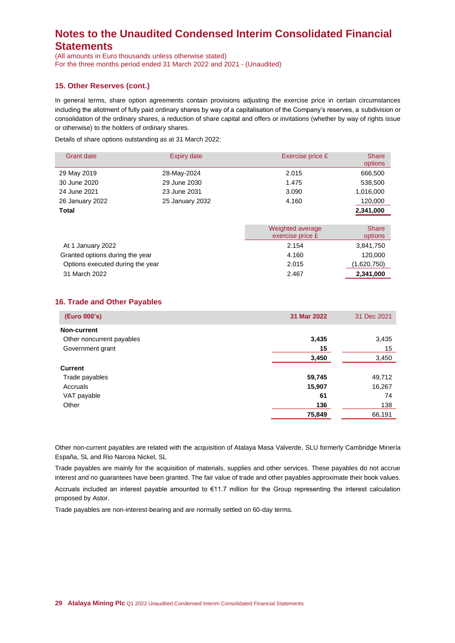(All amounts in Euro thousands unless otherwise stated) For the three months period ended 31 March 2022 and 2021 - (Unaudited)

## **15. Other Reserves (cont.)**

In general terms, share option agreements contain provisions adjusting the exercise price in certain circumstances including the allotment of fully paid ordinary shares by way of a capitalisation of the Company's reserves, a subdivision or consolidation of the ordinary shares, a reduction of share capital and offers or invitations (whether by way of rights issue or otherwise) to the holders of ordinary shares.

Details of share options outstanding as at 31 March 2022:

| <b>Grant date</b>                | <b>Expiry date</b> | Exercise price £                     | <b>Share</b><br>options |
|----------------------------------|--------------------|--------------------------------------|-------------------------|
| 29 May 2019                      | 28-May-2024        | 2.015                                | 666,500                 |
| 30 June 2020                     | 29 June 2030       | 1.475                                | 538,500                 |
| 24 June 2021                     | 23 June 2031       | 3.090                                | 1,016,000               |
| 26 January 2022                  | 25 January 2032    | 4.160                                | 120,000                 |
| Total                            |                    |                                      | 2,341,000               |
|                                  |                    | Weighted average<br>exercise price £ | <b>Share</b><br>options |
| At 1 January 2022                |                    | 2.154                                | 3,841,750               |
| Granted options during the year  |                    | 4.160                                | 120,000                 |
| Options executed during the year |                    | 2.015                                | (1,620,750)             |
| 31 March 2022                    |                    | 2.467                                | 2,341,000               |

## **16. Trade and Other Payables**

| (Euro 000's)              | 31 Mar 2022 | 31 Dec 2021 |
|---------------------------|-------------|-------------|
| Non-current               |             |             |
| Other noncurrent payables | 3,435       | 3,435       |
| Government grant          | 15          | 15          |
|                           | 3,450       | 3,450       |
| <b>Current</b>            |             |             |
| Trade payables            | 59,745      | 49,712      |
| Accruals                  | 15,907      | 16,267      |
| VAT payable               | 61          | 74          |
| Other                     | 136         | 138         |
|                           | 75,849      | 66,191      |

Other non-current payables are related with the acquisition of Atalaya Masa Valverde, SLU formerly Cambridge Minería España, SL and Rio Narcea Nickel, SL

Trade payables are mainly for the acquisition of materials, supplies and other services. These payables do not accrue interest and no guarantees have been granted. The fair value of trade and other payables approximate their book values.

Accruals included an interest payable amounted to €11.7 million for the Group representing the interest calculation proposed by Astor.

Trade payables are non-interest-bearing and are normally settled on 60-day terms.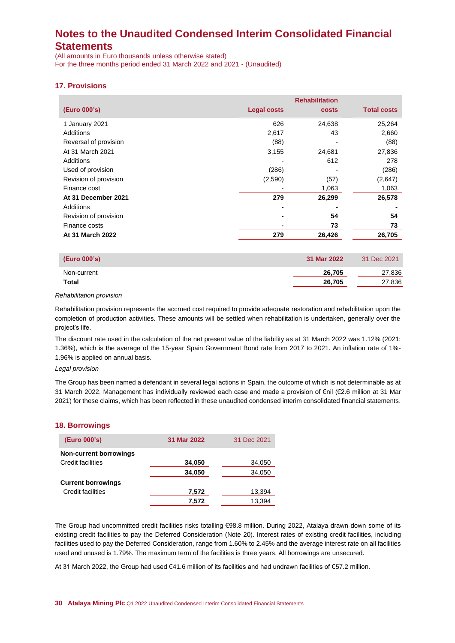(All amounts in Euro thousands unless otherwise stated) For the three months period ended 31 March 2022 and 2021 - (Unaudited)

## **17. Provisions**

|                       |                    | <b>Rehabilitation</b> |                    |
|-----------------------|--------------------|-----------------------|--------------------|
| (Euro 000's)          | <b>Legal costs</b> | costs                 | <b>Total costs</b> |
| 1 January 2021        | 626                | 24,638                | 25,264             |
| Additions             | 2,617              | 43                    | 2,660              |
| Reversal of provision | (88)               |                       | (88)               |
| At 31 March 2021      | 3,155              | 24,681                | 27,836             |
| Additions             |                    | 612                   | 278                |
| Used of provision     | (286)              |                       | (286)              |
| Revision of provision | (2,590)            | (57)                  | (2,647)            |
| Finance cost          |                    | 1,063                 | 1,063              |
| At 31 December 2021   | 279                | 26,299                | 26,578             |
| Additions             |                    |                       |                    |
| Revision of provision | ۰                  | 54                    | 54                 |
| Finance costs         | ۰                  | 73                    | 73                 |
| At 31 March 2022      | 279                | 26,426                | 26,705             |

| (Euro 000's) | 31 Mar 2022 | 31 Dec 2021 |
|--------------|-------------|-------------|
| Non-current  | 26.705      | 27,836      |
| <b>Total</b> | 26,705      | 27,836      |

#### *Rehabilitation provision*

Rehabilitation provision represents the accrued cost required to provide adequate restoration and rehabilitation upon the completion of production activities. These amounts will be settled when rehabilitation is undertaken, generally over the project's life.

The discount rate used in the calculation of the net present value of the liability as at 31 March 2022 was 1.12% (2021: 1.36%), which is the average of the 15-year Spain Government Bond rate from 2017 to 2021. An inflation rate of 1%- 1.96% is applied on annual basis.

#### *Legal provision*

The Group has been named a defendant in several legal actions in Spain, the outcome of which is not determinable as at 31 March 2022. Management has individually reviewed each case and made a provision of €nil (€2.6 million at 31 Mar 2021) for these claims, which has been reflected in these unaudited condensed interim consolidated financial statements.

### **18. Borrowings**

| (Euro 000's)                  | 31 Mar 2022 | 31 Dec 2021 |
|-------------------------------|-------------|-------------|
| <b>Non-current borrowings</b> |             |             |
| Credit facilities             | 34,050      | 34,050      |
|                               | 34,050      | 34,050      |
| <b>Current borrowings</b>     |             |             |
| Credit facilities             | 7,572       | 13,394      |
|                               | 7,572       | 13,394      |

The Group had uncommitted credit facilities risks totalling €98.8 million. During 2022, Atalaya drawn down some of its existing credit facilities to pay the Deferred Consideration (Note 20). Interest rates of existing credit facilities, including facilities used to pay the Deferred Consideration, range from 1.60% to 2.45% and the average interest rate on all facilities used and unused is 1.79%. The maximum term of the facilities is three years. All borrowings are unsecured.

At 31 March 2022, the Group had used €41.6 million of its facilities and had undrawn facilities of €57.2 million.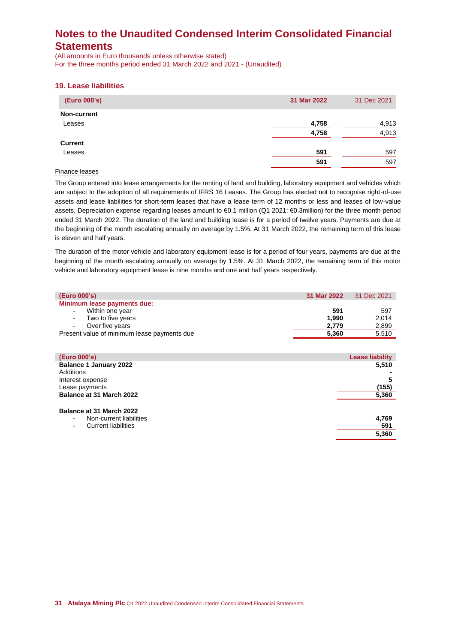(All amounts in Euro thousands unless otherwise stated) For the three months period ended 31 March 2022 and 2021 - (Unaudited)

### **19. Lease liabilities**

| (Euro 000's)       | 31 Mar 2022 | 31 Dec 2021 |
|--------------------|-------------|-------------|
| <b>Non-current</b> |             |             |
| Leases             | 4,758       | 4,913       |
|                    | 4,758       | 4,913       |
| <b>Current</b>     |             |             |
| Leases             | 591         | 597         |
|                    | 591         | 597         |

### Finance leases

The Group entered into lease arrangements for the renting of land and building, laboratory equipment and vehicles which are subject to the adoption of all requirements of IFRS 16 Leases. The Group has elected not to recognise right-of-use assets and lease liabilities for short-term leases that have a lease term of 12 months or less and leases of low-value assets. Depreciation expense regarding leases amount to €0.1 million (Q1 2021: €0.3million) for the three month period ended 31 March 2022. The duration of the land and building lease is for a period of twelve years. Payments are due at the beginning of the month escalating annually on average by 1.5%. At 31 March 2022, the remaining term of this lease is eleven and half years.

The duration of the motor vehicle and laboratory equipment lease is for a period of four years, payments are due at the beginning of the month escalating annually on average by 1.5%. At 31 March 2022, the remaining term of this motor vehicle and laboratory equipment lease is nine months and one and half years respectively.

| (Euro 000's)                                | 31 Mar 2022 | 31 Dec 2021 |
|---------------------------------------------|-------------|-------------|
| Minimum lease payments due:                 |             |             |
| Within one year<br>$\sim$                   | 591         | 597         |
| - Two to five years                         | 1.990       | 2.014       |
| Over five years<br>$\sim 100$ m $^{-1}$     | 2.779       | 2,899       |
| Present value of minimum lease payments due | 5.360       | 5,510       |
|                                             |             |             |

| (Euro 000's)                                                                                | <b>Lease liability</b> |
|---------------------------------------------------------------------------------------------|------------------------|
| <b>Balance 1 January 2022</b>                                                               | 5,510                  |
| Additions                                                                                   |                        |
| Interest expense                                                                            | 5                      |
| Lease payments                                                                              | (155)                  |
| <b>Balance at 31 March 2022</b>                                                             | 5,360                  |
| Balance at 31 March 2022<br>Non-current liabilities<br>$\sim$<br><b>Current liabilities</b> | 4,769<br>591<br>5,360  |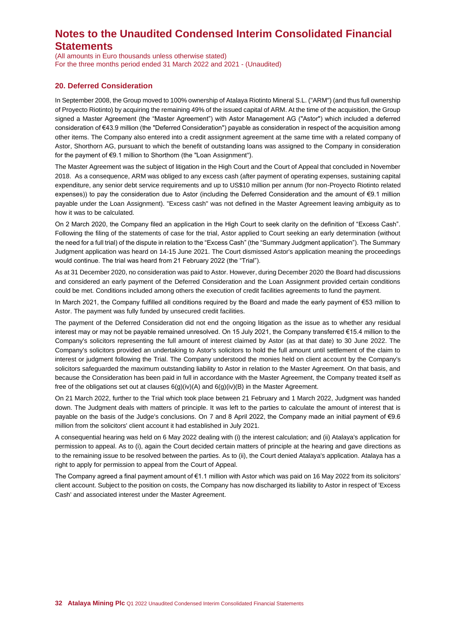(All amounts in Euro thousands unless otherwise stated) For the three months period ended 31 March 2022 and 2021 - (Unaudited)

### **20. Deferred Consideration**

In September 2008, the Group moved to 100% ownership of Atalaya Riotinto Mineral S.L. ("ARM") (and thus full ownership of Proyecto Riotinto) by acquiring the remaining 49% of the issued capital of ARM. At the time of the acquisition, the Group signed a Master Agreement (the "Master Agreement") with Astor Management AG ("Astor") which included a deferred consideration of €43.9 million (the "Deferred Consideration") payable as consideration in respect of the acquisition among other items. The Company also entered into a credit assignment agreement at the same time with a related company of Astor, Shorthorn AG, pursuant to which the benefit of outstanding loans was assigned to the Company in consideration for the payment of €9.1 million to Shorthorn (the "Loan Assignment").

The Master Agreement was the subject of litigation in the High Court and the Court of Appeal that concluded in November 2018. As a consequence, ARM was obliged to any excess cash (after payment of operating expenses, sustaining capital expenditure, any senior debt service requirements and up to US\$10 million per annum (for non-Proyecto Riotinto related expenses)) to pay the consideration due to Astor (including the Deferred Consideration and the amount of €9.1 million payable under the Loan Assignment). "Excess cash" was not defined in the Master Agreement leaving ambiguity as to how it was to be calculated.

On 2 March 2020, the Company filed an application in the High Court to seek clarity on the definition of "Excess Cash". Following the filing of the statements of case for the trial, Astor applied to Court seeking an early determination (without the need for a full trial) of the dispute in relation to the "Excess Cash" (the "Summary Judgment application"). The Summary Judgment application was heard on 14-15 June 2021. The Court dismissed Astor's application meaning the proceedings would continue. The trial was heard from 21 February 2022 (the "Trial").

As at 31 December 2020, no consideration was paid to Astor. However, during December 2020 the Board had discussions and considered an early payment of the Deferred Consideration and the Loan Assignment provided certain conditions could be met. Conditions included among others the execution of credit facilities agreements to fund the payment.

In March 2021, the Company fulfilled all conditions required by the Board and made the early payment of €53 million to Astor. The payment was fully funded by unsecured credit facilities.

The payment of the Deferred Consideration did not end the ongoing litigation as the issue as to whether any residual interest may or may not be payable remained unresolved. On 15 July 2021, the Company transferred €15.4 million to the Company's solicitors representing the full amount of interest claimed by Astor (as at that date) to 30 June 2022. The Company's solicitors provided an undertaking to Astor's solicitors to hold the full amount until settlement of the claim to interest or judgment following the Trial. The Company understood the monies held on client account by the Company's solicitors safeguarded the maximum outstanding liability to Astor in relation to the Master Agreement. On that basis, and because the Consideration has been paid in full in accordance with the Master Agreement, the Company treated itself as free of the obligations set out at clauses 6(g)(iv)(A) and 6(g)(iv)(B) in the Master Agreement.

On 21 March 2022, further to the Trial which took place between 21 February and 1 March 2022, Judgment was handed down. The Judgment deals with matters of principle. It was left to the parties to calculate the amount of interest that is payable on the basis of the Judge's conclusions. On 7 and 8 April 2022, the Company made an initial payment of €9.6 million from the solicitors' client account it had established in July 2021.

A consequential hearing was held on 6 May 2022 dealing with (i) the interest calculation; and (ii) Atalaya's application for permission to appeal. As to (i), again the Court decided certain matters of principle at the hearing and gave directions as to the remaining issue to be resolved between the parties. As to (ii), the Court denied Atalaya's application. Atalaya has a right to apply for permission to appeal from the Court of Appeal.

The Company agreed a final payment amount of €1.1 million with Astor which was paid on 16 May 2022 from its solicitors' client account. Subject to the position on costs, the Company has now discharged its liability to Astor in respect of 'Excess Cash' and associated interest under the Master Agreement.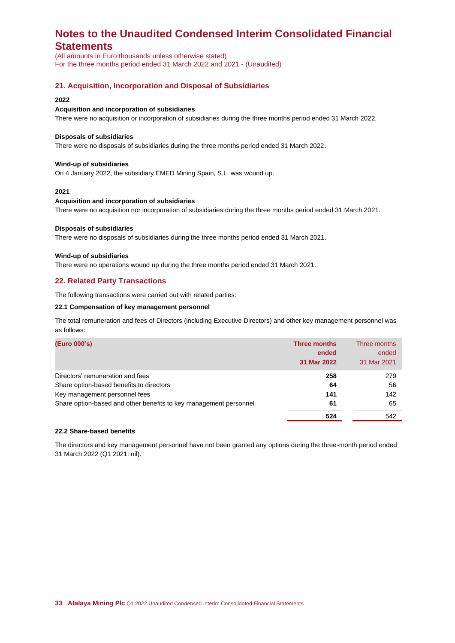(All amounts in Euro thousands unless otherwise stated) For the three months period ended 31 March 2022 and 2021 - (Unaudited)

## **21. Acquisition, Incorporation and Disposal of Subsidiaries**

#### **2022**

#### **Acquisition and incorporation of subsidiaries**

There were no acquisition or incorporation of subsidiaries during the three months period ended 31 March 2022.

#### **Disposals of subsidiaries**

There were no disposals of subsidiaries during the three months period ended 31 March 2022.

#### **Wind-up of subsidiaries**

On 4 January 2022, the subsidiary EMED Mining Spain, S.L. was wound up.

#### **2021**

#### **Acquisition and incorporation of subsidiaries**

There were no acquisition nor incorporation of subsidiaries during the three months period ended 31 March 2021.

#### **Disposals of subsidiaries**

There were no disposals of subsidiaries during the three months period ended 31 March 2021.

#### **Wind-up of subsidiaries**

There were no operations wound up during the three months period ended 31 March 2021.

### **22. Related Party Transactions**

The following transactions were carried out with related parties:

#### **22.1 Compensation of key management personnel**

The total remuneration and fees of Directors (including Executive Directors) and other key management personnel was as follows:

| (Euro 000's)                                                      | <b>Three months</b><br>ended<br>31 Mar 2022 | Three months<br>ended<br>31 Mar 2021 |
|-------------------------------------------------------------------|---------------------------------------------|--------------------------------------|
| Directors' remuneration and fees                                  | 258                                         | 279                                  |
| Share option-based benefits to directors                          | 64                                          | 56                                   |
| Key management personnel fees                                     | 141                                         | 142                                  |
| Share option-based and other benefits to key management personnel | 61                                          | 65                                   |
|                                                                   | 524                                         | 542                                  |

### **22.2 Share-based benefits**

The directors and key management personnel have not been granted any options during the three-month period ended 31 March 2022 (Q1 2021: nil).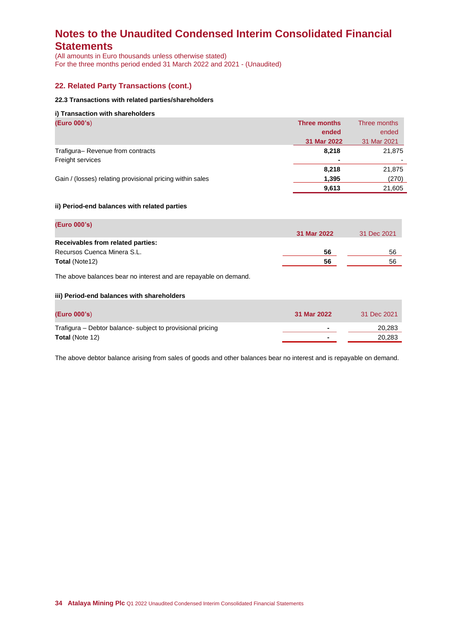(All amounts in Euro thousands unless otherwise stated) For the three months period ended 31 March 2022 and 2021 - (Unaudited)

## **22. Related Party Transactions (cont.)**

#### **22.3 Transactions with related parties/shareholders**

#### **i) Transaction with shareholders**

| (Euro 000's)                                              | <b>Three months</b> | Three months |
|-----------------------------------------------------------|---------------------|--------------|
|                                                           | ended               | ended        |
|                                                           | 31 Mar 2022         | 31 Mar 2021  |
| Trafigura-Revenue from contracts                          | 8,218               | 21,875       |
| Freight services                                          | $\blacksquare$      |              |
|                                                           | 8,218               | 21,875       |
| Gain / (losses) relating provisional pricing within sales | 1,395               | (270)        |
|                                                           | 9,613               | 21,605       |

### **ii) Period-end balances with related parties**

| (Euro 000's)                      |             |             |
|-----------------------------------|-------------|-------------|
|                                   | 31 Mar 2022 | 31 Dec 2021 |
| Receivables from related parties: |             |             |
| Recursos Cuenca Minera S.L.       | 56          | 56          |
| <b>Total (Note12)</b>             | 56          | 56          |
|                                   |             |             |

The above balances bear no interest and are repayable on demand.

#### **iii) Period-end balances with shareholders**

| (Euro 000's)                                               | 31 Mar 2022    | 31 Dec 2021 |
|------------------------------------------------------------|----------------|-------------|
| Trafigura – Debtor balance- subject to provisional pricing | ٠              | 20,283      |
| <b>Total (Note 12)</b>                                     | $\blacksquare$ | 20.283      |

The above debtor balance arising from sales of goods and other balances bear no interest and is repayable on demand.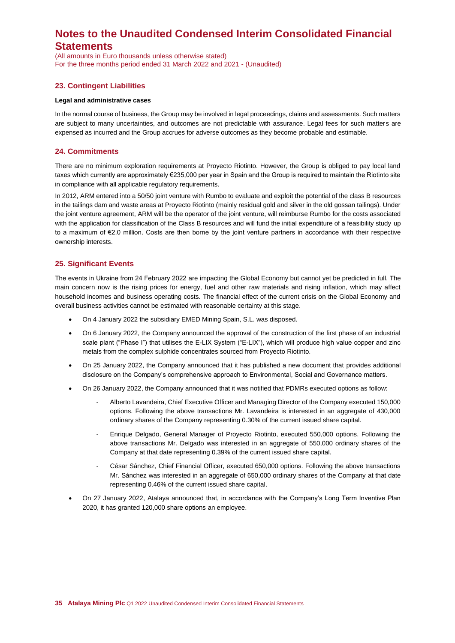(All amounts in Euro thousands unless otherwise stated) For the three months period ended 31 March 2022 and 2021 - (Unaudited)

## **23. Contingent Liabilities**

#### **Legal and administrative cases**

In the normal course of business, the Group may be involved in legal proceedings, claims and assessments. Such matters are subject to many uncertainties, and outcomes are not predictable with assurance. Legal fees for such matters are expensed as incurred and the Group accrues for adverse outcomes as they become probable and estimable.

### **24. Commitments**

There are no minimum exploration requirements at Proyecto Riotinto. However, the Group is obliged to pay local land taxes which currently are approximately €235,000 per year in Spain and the Group is required to maintain the Riotinto site in compliance with all applicable regulatory requirements.

In 2012, ARM entered into a 50/50 joint venture with Rumbo to evaluate and exploit the potential of the class B resources in the tailings dam and waste areas at Proyecto Riotinto (mainly residual gold and silver in the old gossan tailings). Under the joint venture agreement, ARM will be the operator of the joint venture, will reimburse Rumbo for the costs associated with the application for classification of the Class B resources and will fund the initial expenditure of a feasibility study up to a maximum of €2.0 million. Costs are then borne by the joint venture partners in accordance with their respective ownership interests.

### **25. Significant Events**

Τhe events in Ukraine from 24 February 2022 are impacting the Global Economy but cannot yet be predicted in full. The main concern now is the rising prices for energy, fuel and other raw materials and rising inflation, which may affect household incomes and business operating costs. The financial effect of the current crisis on the Global Economy and overall business activities cannot be estimated with reasonable certainty at this stage.

- On 4 January 2022 the subsidiary EMED Mining Spain, S.L. was disposed.
- On 6 January 2022, the Company announced the approval of the construction of the first phase of an industrial scale plant ("Phase I") that utilises the E-LIX System ("E-LIX"), which will produce high value copper and zinc metals from the complex sulphide concentrates sourced from Proyecto Riotinto.
- On 25 January 2022, the Company announced that it has published a new document that provides additional disclosure on the Company's comprehensive approach to Environmental, Social and Governance matters.
- On 26 January 2022, the Company announced that it was notified that PDMRs executed options as follow:
	- Alberto Lavandeira, Chief Executive Officer and Managing Director of the Company executed 150,000 options. Following the above transactions Mr. Lavandeira is interested in an aggregate of 430,000 ordinary shares of the Company representing 0.30% of the current issued share capital.
	- Enrique Delgado, General Manager of Proyecto Riotinto, executed 550,000 options. Following the above transactions Mr. Delgado was interested in an aggregate of 550,000 ordinary shares of the Company at that date representing 0.39% of the current issued share capital.
	- César Sánchez, Chief Financial Officer, executed 650,000 options. Following the above transactions Mr. Sánchez was interested in an aggregate of 650,000 ordinary shares of the Company at that date representing 0.46% of the current issued share capital.
- On 27 January 2022, Atalaya announced that, in accordance with the Company's Long Term Inventive Plan 2020, it has granted 120,000 share options an employee.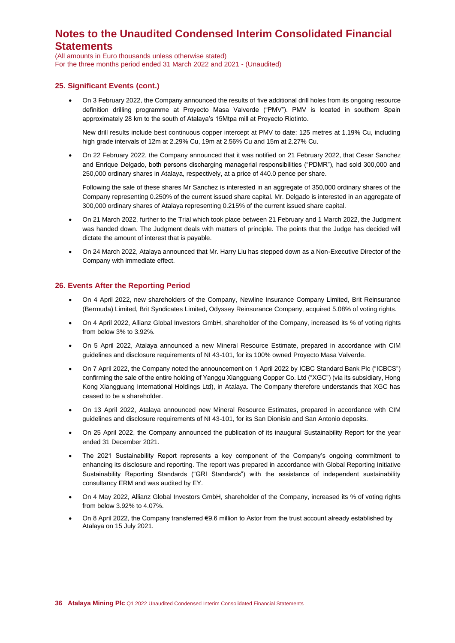(All amounts in Euro thousands unless otherwise stated) For the three months period ended 31 March 2022 and 2021 - (Unaudited)

### **25. Significant Events (cont.)**

• On 3 February 2022, the Company announced the results of five additional drill holes from its ongoing resource definition drilling programme at Proyecto Masa Valverde ("PMV"). PMV is located in southern Spain approximately 28 km to the south of Atalaya's 15Mtpa mill at Proyecto Riotinto.

New drill results include best continuous copper intercept at PMV to date: 125 metres at 1.19% Cu, including high grade intervals of 12m at 2.29% Cu, 19m at 2.56% Cu and 15m at 2.27% Cu.

• On 22 February 2022, the Company announced that it was notified on 21 February 2022, that Cesar Sanchez and Enrique Delgado, both persons discharging managerial responsibilities ("PDMR"), had sold 300,000 and 250,000 ordinary shares in Atalaya, respectively, at a price of 440.0 pence per share.

Following the sale of these shares Mr Sanchez is interested in an aggregate of 350,000 ordinary shares of the Company representing 0.250% of the current issued share capital. Mr. Delgado is interested in an aggregate of 300,000 ordinary shares of Atalaya representing 0.215% of the current issued share capital.

- On 21 March 2022, further to the Trial which took place between 21 February and 1 March 2022, the Judgment was handed down. The Judgment deals with matters of principle. The points that the Judge has decided will dictate the amount of interest that is payable.
- On 24 March 2022, Atalaya announced that Mr. Harry Liu has stepped down as a Non-Executive Director of the Company with immediate effect.

## **26. Events After the Reporting Period**

- On 4 April 2022, new shareholders of the Company, Newline Insurance Company Limited, Brit Reinsurance (Bermuda) Limited, Brit Syndicates Limited, Odyssey Reinsurance Company, acquired 5.08% of voting rights.
- On 4 April 2022, Allianz Global Investors GmbH, shareholder of the Company, increased its % of voting rights from below 3% to 3.92%.
- On 5 April 2022, Atalaya announced a new Mineral Resource Estimate, prepared in accordance with CIM guidelines and disclosure requirements of NI 43-101, for its 100% owned Proyecto Masa Valverde.
- On 7 April 2022, the Company noted the announcement on 1 April 2022 by ICBC Standard Bank Plc ("ICBCS") confirming the sale of the entire holding of Yanggu Xiangguang Copper Co. Ltd ("XGC") (via its subsidiary, Hong Kong Xiangguang International Holdings Ltd), in Atalaya. The Company therefore understands that XGC has ceased to be a shareholder.
- On 13 April 2022, Atalaya announced new Mineral Resource Estimates, prepared in accordance with CIM guidelines and disclosure requirements of NI 43-101, for its San Dionisio and San Antonio deposits.
- On 25 April 2022, the Company announced the publication of its inaugural Sustainability Report for the year ended 31 December 2021.
- The 2021 Sustainability Report represents a key component of the Company's ongoing commitment to enhancing its disclosure and reporting. The report was prepared in accordance with Global Reporting Initiative Sustainability Reporting Standards ("GRI Standards") with the assistance of independent sustainability consultancy ERM and was audited by EY.
- On 4 May 2022, Allianz Global Investors GmbH, shareholder of the Company, increased its % of voting rights from below 3.92% to 4.07%.
- On 8 April 2022, the Company transferred €9.6 million to Astor from the trust account already established by Atalaya on 15 July 2021.